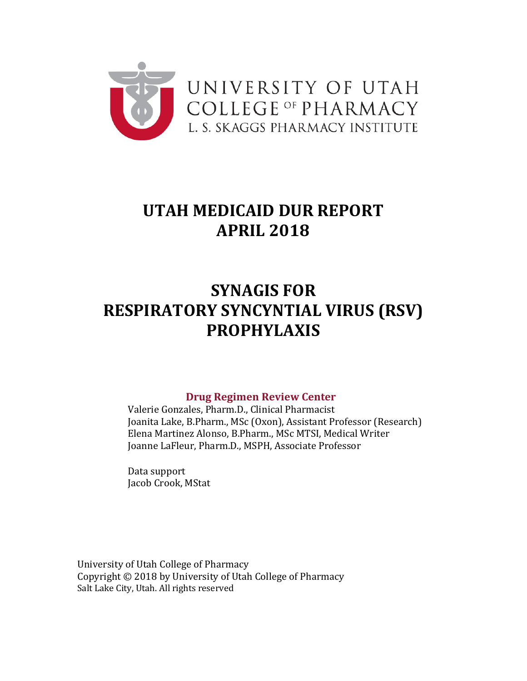

# **UTAH MEDICAID DUR REPORT APRIL 2018**

# **SYNAGIS FOR RESPIRATORY SYNCYNTIAL VIRUS (RSV) PROPHYLAXIS**

### **Drug Regimen Review Center**

Valerie Gonzales, Pharm.D., Clinical Pharmacist Joanita Lake, B.Pharm., MSc (Oxon), Assistant Professor (Research) Elena Martinez Alonso, B.Pharm., MSc MTSI, Medical Writer Joanne LaFleur, Pharm.D., MSPH, Associate Professor

Data support Jacob Crook, MStat

University of Utah College of Pharmacy Copyright © 2018 by University of Utah College of Pharmacy Salt Lake City, Utah. All rights reserved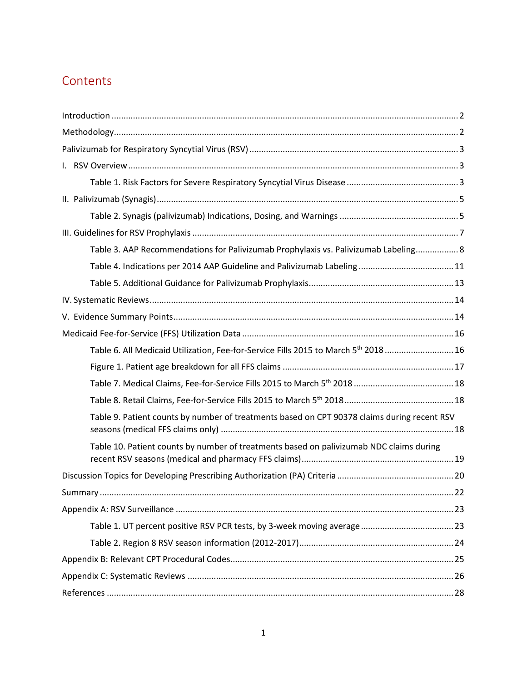# **Contents**

| Table 3. AAP Recommendations for Palivizumab Prophylaxis vs. Palivizumab Labeling 8            |  |
|------------------------------------------------------------------------------------------------|--|
|                                                                                                |  |
|                                                                                                |  |
|                                                                                                |  |
|                                                                                                |  |
|                                                                                                |  |
| Table 6. All Medicaid Utilization, Fee-for-Service Fills 2015 to March 5 <sup>th</sup> 2018 16 |  |
|                                                                                                |  |
|                                                                                                |  |
|                                                                                                |  |
| Table 9. Patient counts by number of treatments based on CPT 90378 claims during recent RSV    |  |
| Table 10. Patient counts by number of treatments based on palivizumab NDC claims during        |  |
|                                                                                                |  |
|                                                                                                |  |
|                                                                                                |  |
|                                                                                                |  |
|                                                                                                |  |
|                                                                                                |  |
|                                                                                                |  |
|                                                                                                |  |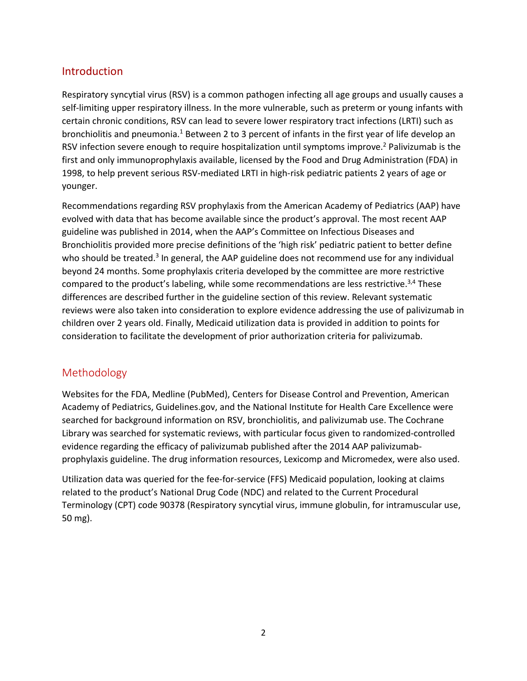## <span id="page-2-0"></span>Introduction

Respiratory syncytial virus (RSV) is a common pathogen infecting all age groups and usually causes a self-limiting upper respiratory illness. In the more vulnerable, such as preterm or young infants with certain chronic conditions, RSV can lead to severe lower respiratory tract infections (LRTI) such as bronchiolitis and pneumonia.<sup>1</sup> Between 2 to 3 percent of infants in the first year of life develop an RSV infection severe enough to require hospitalization until symptoms improve.<sup>2</sup> Palivizumab is the first and only immunoprophylaxis available, licensed by the Food and Drug Administration (FDA) in 1998, to help prevent serious RSV-mediated LRTI in high-risk pediatric patients 2 years of age or younger.

Recommendations regarding RSV prophylaxis from the American Academy of Pediatrics (AAP) have evolved with data that has become available since the product's approval. The most recent AAP guideline was published in 2014, when the AAP's Committee on Infectious Diseases and Bronchiolitis provided more precise definitions of the 'high risk' pediatric patient to better define who should be treated.<sup>3</sup> In general, the AAP guideline does not recommend use for any individual beyond 24 months. Some prophylaxis criteria developed by the committee are more restrictive compared to the product's labeling, while some recommendations are less restrictive.<sup>3,4</sup> These differences are described further in the guideline section of this review. Relevant systematic reviews were also taken into consideration to explore evidence addressing the use of palivizumab in children over 2 years old. Finally, Medicaid utilization data is provided in addition to points for consideration to facilitate the development of prior authorization criteria for palivizumab.

## <span id="page-2-1"></span>Methodology

Websites for the FDA, Medline (PubMed), Centers for Disease Control and Prevention, American Academy of Pediatrics, Guidelines.gov, and the National Institute for Health Care Excellence were searched for background information on RSV, bronchiolitis, and palivizumab use. The Cochrane Library was searched for systematic reviews, with particular focus given to randomized-controlled evidence regarding the efficacy of palivizumab published after the 2014 AAP palivizumabprophylaxis guideline. The drug information resources, Lexicomp and Micromedex, were also used.

Utilization data was queried for the fee-for-service (FFS) Medicaid population, looking at claims related to the product's National Drug Code (NDC) and related to the Current Procedural Terminology (CPT) code 90378 (Respiratory syncytial virus, immune globulin, for intramuscular use, 50 mg).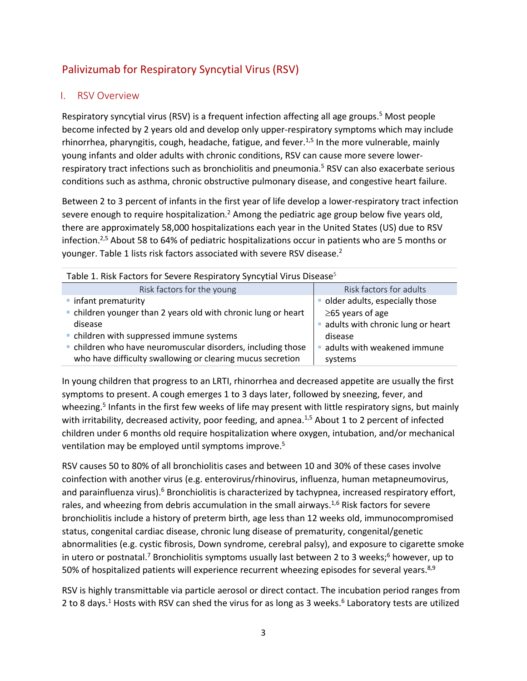# <span id="page-3-0"></span>Palivizumab for Respiratory Syncytial Virus (RSV)

### <span id="page-3-1"></span>I. RSV Overview

Respiratory syncytial virus (RSV) is a frequent infection affecting all age groups.<sup>5</sup> Most people become infected by 2 years old and develop only upper-respiratory symptoms which may include rhinorrhea, pharyngitis, cough, headache, fatigue, and fever.<sup>1,5</sup> In the more vulnerable, mainly young infants and older adults with chronic conditions, RSV can cause more severe lowerrespiratory tract infections such as bronchiolitis and pneumonia.<sup>5</sup> RSV can also exacerbate serious conditions such as asthma, chronic obstructive pulmonary disease, and congestive heart failure.

Between 2 to 3 percent of infants in the first year of life develop a lower-respiratory tract infection severe enough to require hospitalization.<sup>2</sup> Among the pediatric age group below five years old, there are approximately 58,000 hospitalizations each year in the United States (US) due to RSV infection.<sup>2,5</sup> About 58 to 64% of pediatric hospitalizations occur in patients who are 5 months or younger. Table 1 lists risk factors associated with severe RSV disease.2

<span id="page-3-2"></span>

| Table 1. Risk Factors for Severe Respiratory Syncytial Virus Disease <sup>5</sup> |                                   |  |  |  |  |
|-----------------------------------------------------------------------------------|-----------------------------------|--|--|--|--|
| Risk factors for the young                                                        | Risk factors for adults           |  |  |  |  |
| • infant prematurity                                                              | · older adults, especially those  |  |  |  |  |
| • children younger than 2 years old with chronic lung or heart                    | $\geq$ 65 years of age            |  |  |  |  |
| disease                                                                           | adults with chronic lung or heart |  |  |  |  |
| • children with suppressed immune systems                                         | disease                           |  |  |  |  |
| . children who have neuromuscular disorders, including those                      | adults with weakened immune       |  |  |  |  |
| who have difficulty swallowing or clearing mucus secretion                        | systems                           |  |  |  |  |

In young children that progress to an LRTI, rhinorrhea and decreased appetite are usually the first symptoms to present. A cough emerges 1 to 3 days later, followed by sneezing, fever, and wheezing.<sup>5</sup> Infants in the first few weeks of life may present with little respiratory signs, but mainly with irritability, decreased activity, poor feeding, and apnea.<sup>1,5</sup> About 1 to 2 percent of infected children under 6 months old require hospitalization where oxygen, intubation, and/or mechanical ventilation may be employed until symptoms improve.<sup>5</sup>

RSV causes 50 to 80% of all bronchiolitis cases and between 10 and 30% of these cases involve coinfection with another virus (e.g. enterovirus/rhinovirus, influenza, human metapneumovirus, and parainfluenza virus).<sup>6</sup> Bronchiolitis is characterized by tachypnea, increased respiratory effort, rales, and wheezing from debris accumulation in the small airways.<sup>1,6</sup> Risk factors for severe bronchiolitis include a history of preterm birth, age less than 12 weeks old, immunocompromised status, congenital cardiac disease, chronic lung disease of prematurity, congenital/genetic abnormalities (e.g. cystic fibrosis, Down syndrome, cerebral palsy), and exposure to cigarette smoke in utero or postnatal.<sup>7</sup> Bronchiolitis symptoms usually last between 2 to 3 weeks;<sup>6</sup> however, up to 50% of hospitalized patients will experience recurrent wheezing episodes for several years.<sup>8,9</sup>

RSV is highly transmittable via particle aerosol or direct contact. The incubation period ranges from 2 to 8 days.<sup>1</sup> Hosts with RSV can shed the virus for as long as 3 weeks.<sup>6</sup> Laboratory tests are utilized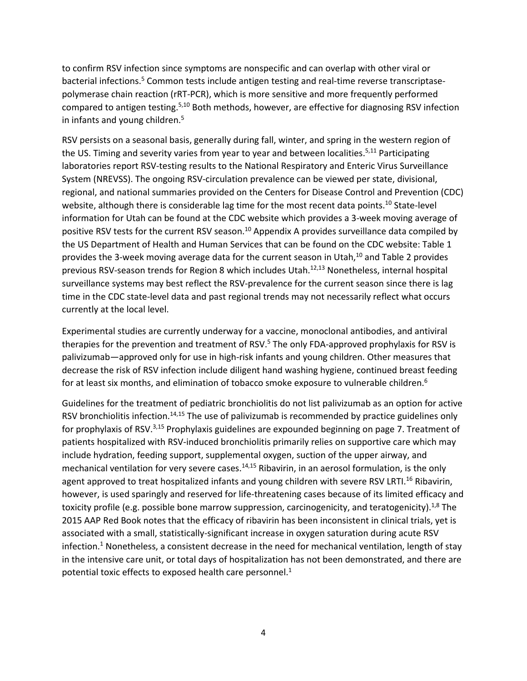to confirm RSV infection since symptoms are nonspecific and can overlap with other viral or bacterial infections.<sup>5</sup> Common tests include antigen testing and real-time reverse transcriptasepolymerase chain reaction (rRT-PCR), which is more sensitive and more frequently performed compared to antigen testing.<sup>5,10</sup> Both methods, however, are effective for diagnosing RSV infection in infants and young children.5

RSV persists on a seasonal basis, generally during fall, winter, and spring in the western region of the US. Timing and severity varies from year to year and between localities.<sup>5,11</sup> Participating laboratories report RSV-testing results to the National Respiratory and Enteric Virus Surveillance System (NREVSS). The ongoing RSV-circulation prevalence can be viewed per state, divisional, regional, and national summaries provided on the Centers for Disease Control and Prevention (CDC) website, although there is considerable lag time for the most recent data points.<sup>10</sup> State-level information for Utah can be found at the CDC website which provides a 3-week moving average of positive RSV tests for the current RSV season.<sup>10</sup> Appendix A provides surveillance data compiled by the US Department of Health and Human Services that can be found on the CDC website: Table 1 provides the 3-week moving average data for the current season in Utah,<sup>10</sup> and Table 2 provides previous RSV-season trends for Region 8 which includes Utah. 12,13 Nonetheless, internal hospital surveillance systems may best reflect the RSV-prevalence for the current season since there is lag time in the CDC state-level data and past regional trends may not necessarily reflect what occurs currently at the local level.

Experimental studies are currently underway for a vaccine, monoclonal antibodies, and antiviral therapies for the prevention and treatment of RSV. <sup>5</sup> The only FDA-approved prophylaxis for RSV is palivizumab—approved only for use in high-risk infants and young children. Other measures that decrease the risk of RSV infection include diligent hand washing hygiene, continued breast feeding for at least six months, and elimination of tobacco smoke exposure to vulnerable children. 6

Guidelines for the treatment of pediatric bronchiolitis do not list palivizumab as an option for active RSV bronchiolitis infection.<sup>14,15</sup> The use of palivizumab is recommended by practice guidelines only for prophylaxis of RSV.<sup>3,15</sup> Prophylaxis guidelines are expounded beginning on page 7. Treatment of patients hospitalized with RSV-induced bronchiolitis primarily relies on supportive care which may include hydration, feeding support, supplemental oxygen, suction of the upper airway, and mechanical ventilation for very severe cases.<sup>14,15</sup> Ribavirin, in an aerosol formulation, is the only agent approved to treat hospitalized infants and young children with severe RSV LRTI.<sup>16</sup> Ribavirin, however, is used sparingly and reserved for life-threatening cases because of its limited efficacy and toxicity profile (e.g. possible bone marrow suppression, carcinogenicity, and teratogenicity).<sup>1,8</sup> The 2015 AAP Red Book notes that the efficacy of ribavirin has been inconsistent in clinical trials, yet is associated with a small, statistically-significant increase in oxygen saturation during acute RSV infection.<sup>1</sup> Nonetheless, a consistent decrease in the need for mechanical ventilation, length of stay in the intensive care unit, or total days of hospitalization has not been demonstrated, and there are potential toxic effects to exposed health care personnel. $<sup>1</sup>$ </sup>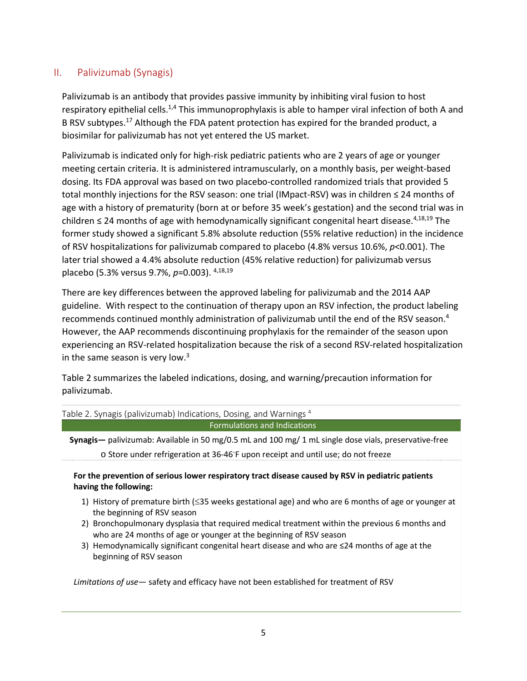### <span id="page-5-0"></span>II. Palivizumab (Synagis)

Palivizumab is an antibody that provides passive immunity by inhibiting viral fusion to host respiratory epithelial cells.<sup>1,4</sup> This immunoprophylaxis is able to hamper viral infection of both A and B RSV subtypes.<sup>17</sup> Although the FDA patent protection has expired for the branded product, a biosimilar for palivizumab has not yet entered the US market.

Palivizumab is indicated only for high-risk pediatric patients who are 2 years of age or younger meeting certain criteria. It is administered intramuscularly, on a monthly basis, per weight-based dosing. Its FDA approval was based on two placebo-controlled randomized trials that provided 5 total monthly injections for the RSV season: one trial (IMpact-RSV) was in children ≤ 24 months of age with a history of prematurity (born at or before 35 week's gestation) and the second trial was in children  $\leq$  24 months of age with hemodynamically significant congenital heart disease.<sup>4,18,19</sup> The former study showed a significant 5.8% absolute reduction (55% relative reduction) in the incidence of RSV hospitalizations for palivizumab compared to placebo (4.8% versus 10.6%, *p*<0.001). The later trial showed a 4.4% absolute reduction (45% relative reduction) for palivizumab versus placebo (5.3% versus 9.7%, *p*=0.003). 4,18,19

There are key differences between the approved labeling for palivizumab and the 2014 AAP guideline. With respect to the continuation of therapy upon an RSV infection, the product labeling recommends continued monthly administration of palivizumab until the end of the RSV season. 4 However, the AAP recommends discontinuing prophylaxis for the remainder of the season upon experiencing an RSV-related hospitalization because the risk of a second RSV-related hospitalization in the same season is very low.<sup>3</sup>

Table 2 summarizes the labeled indications, dosing, and warning/precaution information for palivizumab.

<span id="page-5-1"></span>

| Table 2. Synagis (palivizumab) Indications, Dosing, and Warnings <sup>4</sup>                |
|----------------------------------------------------------------------------------------------|
| <b>Formulations and Indications</b>                                                          |
| <b>Curacia</b> policizumah: Available in EQ mg/Q E mL and 100 mg/1 mL single deservials pros |

**Synagis—** palivizumab: Available in 50 mg/0.5 mL and 100 mg/ 1 mL single dose vials, preservative-free o Store under refrigeration at 36-46℃ upon receipt and until use; do not freeze

### **For the prevention of serious lower respiratory tract disease caused by RSV in pediatric patients having the following:**

- 1) History of premature birth (≤35 weeks gestational age) and who are 6 months of age or younger at the beginning of RSV season
- 2) Bronchopulmonary dysplasia that required medical treatment within the previous 6 months and who are 24 months of age or younger at the beginning of RSV season
- 3) Hemodynamically significant congenital heart disease and who are ≤24 months of age at the beginning of RSV season

*Limitations of use—* safety and efficacy have not been established for treatment of RSV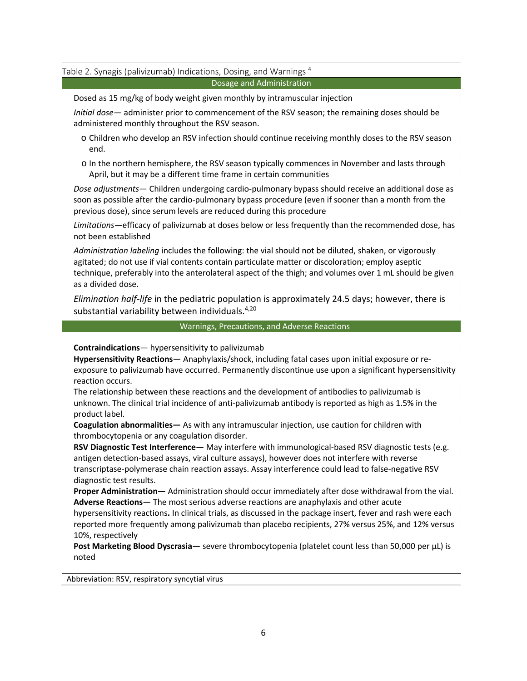#### Table 2. Synagis (palivizumab) Indications, Dosing, and Warnings<sup>4</sup>

#### Dosage and Administration

Dosed as 15 mg/kg of body weight given monthly by intramuscular injection

*Initial dose*— administer prior to commencement of the RSV season; the remaining doses should be administered monthly throughout the RSV season.

- o Children who develop an RSV infection should continue receiving monthly doses to the RSV season end.
- o In the northern hemisphere, the RSV season typically commences in November and lasts through April, but it may be a different time frame in certain communities

*Dose adjustments*— Children undergoing cardio-pulmonary bypass should receive an additional dose as soon as possible after the cardio-pulmonary bypass procedure (even if sooner than a month from the previous dose), since serum levels are reduced during this procedure

*Limitations*—efficacy of palivizumab at doses below or less frequently than the recommended dose, has not been established

*Administration labeling* includes the following: the vial should not be diluted, shaken, or vigorously agitated; do not use if vial contents contain particulate matter or discoloration; employ aseptic technique, preferably into the anterolateral aspect of the thigh; and volumes over 1 mL should be given as a divided dose.

*Elimination half-life* in the pediatric population is approximately 24.5 days; however, there is substantial variability between individuals.<sup>4,20</sup>

#### Warnings, Precautions, and Adverse Reactions

**Contraindications**— hypersensitivity to palivizumab

**Hypersensitivity Reactions**— Anaphylaxis/shock, including fatal cases upon initial exposure or reexposure to palivizumab have occurred. Permanently discontinue use upon a significant hypersensitivity reaction occurs.

The relationship between these reactions and the development of antibodies to palivizumab is unknown. The clinical trial incidence of anti-palivizumab antibody is reported as high as 1.5% in the product label.

**Coagulation abnormalities—** As with any intramuscular injection, use caution for children with thrombocytopenia or any coagulation disorder.

**RSV Diagnostic Test Interference—** May interfere with immunological-based RSV diagnostic tests (e.g. antigen detection-based assays, viral culture assays), however does not interfere with reverse transcriptase-polymerase chain reaction assays. Assay interference could lead to false-negative RSV diagnostic test results.

**Proper Administration—** Administration should occur immediately after dose withdrawal from the vial. **Adverse Reactions**— The most serious adverse reactions are anaphylaxis and other acute

hypersensitivity reactions**.** In clinical trials, as discussed in the package insert, fever and rash were each reported more frequently among palivizumab than placebo recipients, 27% versus 25%, and 12% versus 10%, respectively

**Post Marketing Blood Dyscrasia—** severe thrombocytopenia (platelet count less than 50,000 per µL) is noted

Abbreviation: RSV, respiratory syncytial virus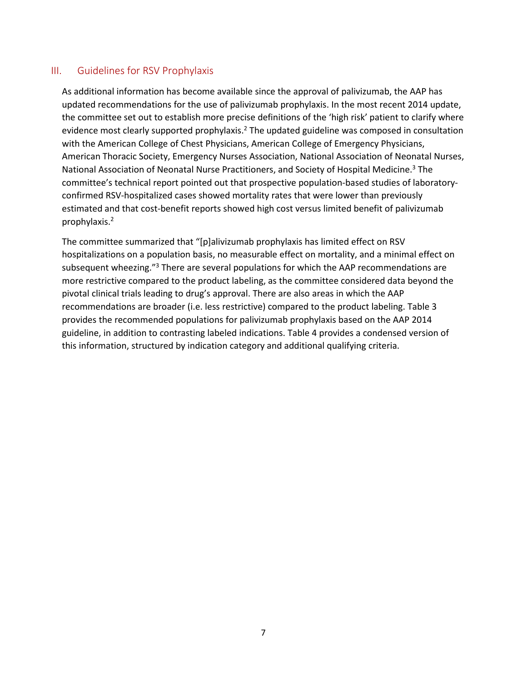### <span id="page-7-0"></span>III. Guidelines for RSV Prophylaxis

As additional information has become available since the approval of palivizumab, the AAP has updated recommendations for the use of palivizumab prophylaxis. In the most recent 2014 update, the committee set out to establish more precise definitions of the 'high risk' patient to clarify where evidence most clearly supported prophylaxis.<sup>2</sup> The updated guideline was composed in consultation with the American College of Chest Physicians, American College of Emergency Physicians, American Thoracic Society, Emergency Nurses Association, National Association of Neonatal Nurses, National Association of Neonatal Nurse Practitioners, and Society of Hospital Medicine.<sup>3</sup> The committee's technical report pointed out that prospective population-based studies of laboratoryconfirmed RSV-hospitalized cases showed mortality rates that were lower than previously estimated and that cost-benefit reports showed high cost versus limited benefit of palivizumab prophylaxis.2

The committee summarized that "[p]alivizumab prophylaxis has limited effect on RSV hospitalizations on a population basis, no measurable effect on mortality, and a minimal effect on subsequent wheezing."<sup>3</sup> There are several populations for which the AAP recommendations are more restrictive compared to the product labeling, as the committee considered data beyond the pivotal clinical trials leading to drug's approval. There are also areas in which the AAP recommendations are broader (i.e. less restrictive) compared to the product labeling. Table 3 provides the recommended populations for palivizumab prophylaxis based on the AAP 2014 guideline, in addition to contrasting labeled indications. Table 4 provides a condensed version of this information, structured by indication category and additional qualifying criteria.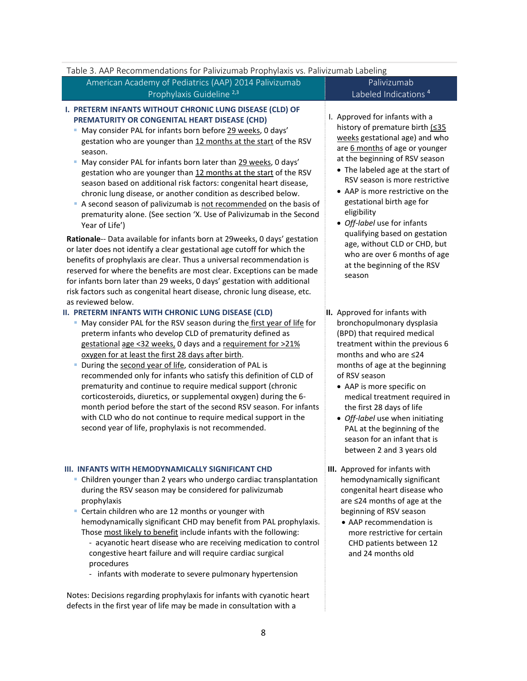<span id="page-8-0"></span>

| Table 3. AAP Recommendations for Palivizumab Prophylaxis vs. Palivizumab Labeling                                                                                                                                                                                                                                                                                                                                                                                                                                                                                                                                                                                                                                                                                                                                                                                                                                                                                                                                                                                                                                                                                      |                                                                                                                                                                                                                                                                                                                                                                                                                                                                                                         |
|------------------------------------------------------------------------------------------------------------------------------------------------------------------------------------------------------------------------------------------------------------------------------------------------------------------------------------------------------------------------------------------------------------------------------------------------------------------------------------------------------------------------------------------------------------------------------------------------------------------------------------------------------------------------------------------------------------------------------------------------------------------------------------------------------------------------------------------------------------------------------------------------------------------------------------------------------------------------------------------------------------------------------------------------------------------------------------------------------------------------------------------------------------------------|---------------------------------------------------------------------------------------------------------------------------------------------------------------------------------------------------------------------------------------------------------------------------------------------------------------------------------------------------------------------------------------------------------------------------------------------------------------------------------------------------------|
| American Academy of Pediatrics (AAP) 2014 Palivizumab                                                                                                                                                                                                                                                                                                                                                                                                                                                                                                                                                                                                                                                                                                                                                                                                                                                                                                                                                                                                                                                                                                                  | Palivizumab                                                                                                                                                                                                                                                                                                                                                                                                                                                                                             |
| Prophylaxis Guideline <sup>2,3</sup>                                                                                                                                                                                                                                                                                                                                                                                                                                                                                                                                                                                                                                                                                                                                                                                                                                                                                                                                                                                                                                                                                                                                   | Labeled Indications <sup>4</sup>                                                                                                                                                                                                                                                                                                                                                                                                                                                                        |
| I. PRETERM INFANTS WITHOUT CHRONIC LUNG DISEASE (CLD) OF<br>PREMATURITY OR CONGENITAL HEART DISEASE (CHD)<br>May consider PAL for infants born before 29 weeks, 0 days'<br>gestation who are younger than 12 months at the start of the RSV<br>season.<br>May consider PAL for infants born later than 29 weeks, 0 days'<br>gestation who are younger than 12 months at the start of the RSV<br>season based on additional risk factors: congenital heart disease,<br>chronic lung disease, or another condition as described below.<br>A second season of palivizumab is not recommended on the basis of<br>prematurity alone. (See section 'X. Use of Palivizumab in the Second<br>Year of Life')<br>Rationale-- Data available for infants born at 29weeks, 0 days' gestation<br>or later does not identify a clear gestational age cutoff for which the<br>benefits of prophylaxis are clear. Thus a universal recommendation is<br>reserved for where the benefits are most clear. Exceptions can be made<br>for infants born later than 29 weeks, 0 days' gestation with additional<br>risk factors such as congenital heart disease, chronic lung disease, etc. | I. Approved for infants with a<br>history of premature birth (<35<br>weeks gestational age) and who<br>are 6 months of age or younger<br>at the beginning of RSV season<br>• The labeled age at the start of<br>RSV season is more restrictive<br>• AAP is more restrictive on the<br>gestational birth age for<br>eligibility<br>• Off-label use for infants<br>qualifying based on gestation<br>age, without CLD or CHD, but<br>who are over 6 months of age<br>at the beginning of the RSV<br>season |
| as reviewed below.<br>II. PRETERM INFANTS WITH CHRONIC LUNG DISEASE (CLD)<br>• May consider PAL for the RSV season during the first year of life for<br>preterm infants who develop CLD of prematurity defined as<br>gestational age <32 weeks, 0 days and a requirement for >21%<br>oxygen for at least the first 28 days after birth.<br>During the second year of life, consideration of PAL is<br>Е<br>recommended only for infants who satisfy this definition of CLD of<br>prematurity and continue to require medical support (chronic<br>corticosteroids, diuretics, or supplemental oxygen) during the 6-<br>month period before the start of the second RSV season. For infants<br>with CLD who do not continue to require medical support in the<br>second year of life, prophylaxis is not recommended.                                                                                                                                                                                                                                                                                                                                                    | II. Approved for infants with<br>bronchopulmonary dysplasia<br>(BPD) that required medical<br>treatment within the previous 6<br>months and who are ≤24<br>months of age at the beginning<br>of RSV season<br>• AAP is more specific on<br>medical treatment required in<br>the first 28 days of life<br>• Off-label use when initiating<br>PAL at the beginning of the<br>season for an infant that is<br>between 2 and 3 years old                                                                    |
| III. INFANTS WITH HEMODYNAMICALLY SIGNIFICANT CHD<br>• Children younger than 2 years who undergo cardiac transplantation<br>during the RSV season may be considered for palivizumab<br>prophylaxis<br>• Certain children who are 12 months or younger with<br>hemodynamically significant CHD may benefit from PAL prophylaxis.<br>Those most likely to benefit include infants with the following:<br>- acyanotic heart disease who are receiving medication to control<br>congestive heart failure and will require cardiac surgical<br>procedures<br>- infants with moderate to severe pulmonary hypertension<br>Notes: Decisions regarding prophylaxis for infants with cyanotic heart<br>defects in the first year of life may be made in consultation with a                                                                                                                                                                                                                                                                                                                                                                                                     | III. Approved for infants with<br>hemodynamically significant<br>congenital heart disease who<br>are ≤24 months of age at the<br>beginning of RSV season<br>• AAP recommendation is<br>more restrictive for certain<br>CHD patients between 12<br>and 24 months old                                                                                                                                                                                                                                     |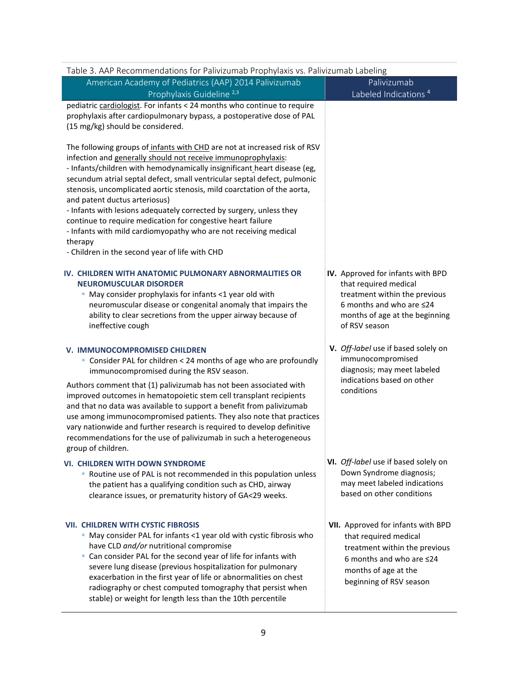| Table 3. AAP Recommendations for Palivizumab Prophylaxis vs. Palivizumab Labeling                                                                                                                                                                                                                                                                                                                                                                                                                                                                                                                                                                                                     |                                                                                                                                                                                   |
|---------------------------------------------------------------------------------------------------------------------------------------------------------------------------------------------------------------------------------------------------------------------------------------------------------------------------------------------------------------------------------------------------------------------------------------------------------------------------------------------------------------------------------------------------------------------------------------------------------------------------------------------------------------------------------------|-----------------------------------------------------------------------------------------------------------------------------------------------------------------------------------|
| American Academy of Pediatrics (AAP) 2014 Palivizumab                                                                                                                                                                                                                                                                                                                                                                                                                                                                                                                                                                                                                                 | Palivizumab                                                                                                                                                                       |
| Prophylaxis Guideline <sup>2,3</sup>                                                                                                                                                                                                                                                                                                                                                                                                                                                                                                                                                                                                                                                  | Labeled Indications <sup>4</sup>                                                                                                                                                  |
| pediatric cardiologist. For infants < 24 months who continue to require<br>prophylaxis after cardiopulmonary bypass, a postoperative dose of PAL<br>(15 mg/kg) should be considered.                                                                                                                                                                                                                                                                                                                                                                                                                                                                                                  |                                                                                                                                                                                   |
| The following groups of infants with CHD are not at increased risk of RSV<br>infection and generally should not receive immunoprophylaxis:<br>- Infants/children with hemodynamically insignificant heart disease (eg,<br>secundum atrial septal defect, small ventricular septal defect, pulmonic<br>stenosis, uncomplicated aortic stenosis, mild coarctation of the aorta,<br>and patent ductus arteriosus)<br>- Infants with lesions adequately corrected by surgery, unless they<br>continue to require medication for congestive heart failure<br>- Infants with mild cardiomyopathy who are not receiving medical<br>therapy<br>- Children in the second year of life with CHD |                                                                                                                                                                                   |
| IV. CHILDREN WITH ANATOMIC PULMONARY ABNORMALITIES OR<br><b>NEUROMUSCULAR DISORDER</b><br>May consider prophylaxis for infants <1 year old with<br>ш<br>neuromuscular disease or congenital anomaly that impairs the<br>ability to clear secretions from the upper airway because of<br>ineffective cough                                                                                                                                                                                                                                                                                                                                                                             | IV. Approved for infants with BPD<br>that required medical<br>treatment within the previous<br>6 months and who are $\leq$ 24<br>months of age at the beginning<br>of RSV season  |
| V. IMMUNOCOMPROMISED CHILDREN<br>• Consider PAL for children < 24 months of age who are profoundly<br>immunocompromised during the RSV season.<br>Authors comment that (1) palivizumab has not been associated with<br>improved outcomes in hematopoietic stem cell transplant recipients<br>and that no data was available to support a benefit from palivizumab<br>use among immunocompromised patients. They also note that practices<br>vary nationwide and further research is required to develop definitive<br>recommendations for the use of palivizumab in such a heterogeneous<br>group of children.                                                                        | V. Off-label use if based solely on<br>immunocompromised<br>diagnosis; may meet labeled<br>indications based on other<br>conditions                                               |
| <b>VI. CHILDREN WITH DOWN SYNDROME</b><br>• Routine use of PAL is not recommended in this population unless<br>the patient has a qualifying condition such as CHD, airway<br>clearance issues, or prematurity history of GA<29 weeks.                                                                                                                                                                                                                                                                                                                                                                                                                                                 | VI. Off-label use if based solely on<br>Down Syndrome diagnosis;<br>may meet labeled indications<br>based on other conditions                                                     |
| <b>VII. CHILDREN WITH CYSTIC FIBROSIS</b><br>• May consider PAL for infants <1 year old with cystic fibrosis who<br>have CLD and/or nutritional compromise<br>Can consider PAL for the second year of life for infants with<br>severe lung disease (previous hospitalization for pulmonary<br>exacerbation in the first year of life or abnormalities on chest<br>radiography or chest computed tomography that persist when<br>stable) or weight for length less than the 10th percentile                                                                                                                                                                                            | VII. Approved for infants with BPD<br>that required medical<br>treatment within the previous<br>6 months and who are $\leq$ 24<br>months of age at the<br>beginning of RSV season |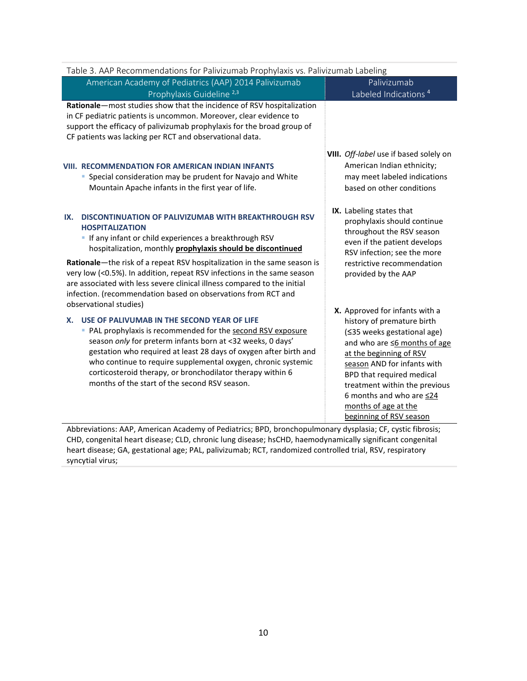| Table 3. AAP Recommendations for Palivizumab Prophylaxis vs. Palivizumab Labeling                                                                                                                                                                                                                                                                                                                                                                       |                                                                                                                                                                                                                                                                                                        |  |  |  |  |  |  |
|---------------------------------------------------------------------------------------------------------------------------------------------------------------------------------------------------------------------------------------------------------------------------------------------------------------------------------------------------------------------------------------------------------------------------------------------------------|--------------------------------------------------------------------------------------------------------------------------------------------------------------------------------------------------------------------------------------------------------------------------------------------------------|--|--|--|--|--|--|
| American Academy of Pediatrics (AAP) 2014 Palivizumab<br>Prophylaxis Guideline <sup>2,3</sup>                                                                                                                                                                                                                                                                                                                                                           | Palivizumab<br>Labeled Indications <sup>4</sup>                                                                                                                                                                                                                                                        |  |  |  |  |  |  |
| Rationale-most studies show that the incidence of RSV hospitalization<br>in CF pediatric patients is uncommon. Moreover, clear evidence to<br>support the efficacy of palivizumab prophylaxis for the broad group of<br>CF patients was lacking per RCT and observational data.                                                                                                                                                                         |                                                                                                                                                                                                                                                                                                        |  |  |  |  |  |  |
| <b>VIII. RECOMMENDATION FOR AMERICAN INDIAN INFANTS</b><br>• Special consideration may be prudent for Navajo and White<br>Mountain Apache infants in the first year of life.                                                                                                                                                                                                                                                                            | VIII. Off-label use if based solely on<br>American Indian ethnicity;<br>may meet labeled indications<br>based on other conditions                                                                                                                                                                      |  |  |  |  |  |  |
| <b>DISCONTINUATION OF PALIVIZUMAB WITH BREAKTHROUGH RSV</b><br>IX.<br><b>HOSPITALIZATION</b><br>If any infant or child experiences a breakthrough RSV<br>hospitalization, monthly prophylaxis should be discontinued<br>Rationale-the risk of a repeat RSV hospitalization in the same season is<br>very low (<0.5%). In addition, repeat RSV infections in the same season<br>are associated with less severe clinical illness compared to the initial | IX. Labeling states that<br>prophylaxis should continue<br>throughout the RSV season<br>even if the patient develops<br>RSV infection; see the more<br>restrictive recommendation<br>provided by the AAP                                                                                               |  |  |  |  |  |  |
| infection. (recommendation based on observations from RCT and<br>observational studies)<br>USE OF PALIVUMAB IN THE SECOND YEAR OF LIFE<br>Х.                                                                                                                                                                                                                                                                                                            | X. Approved for infants with a                                                                                                                                                                                                                                                                         |  |  |  |  |  |  |
| • PAL prophylaxis is recommended for the second RSV exposure<br>season only for preterm infants born at <32 weeks, 0 days'<br>gestation who required at least 28 days of oxygen after birth and<br>who continue to require supplemental oxygen, chronic systemic<br>corticosteroid therapy, or bronchodilator therapy within 6<br>months of the start of the second RSV season.                                                                         | history of premature birth<br>(≤35 weeks gestational age)<br>and who are ≤6 months of age<br>at the beginning of RSV<br>season AND for infants with<br>BPD that required medical<br>treatment within the previous<br>6 months and who are $\leq$ 24<br>months of age at the<br>beginning of RSV season |  |  |  |  |  |  |
| Abbreviations: AAP, American Academy of Pediatrics; BPD, bronchopulmonary dysplasia; CF, cystic fibrosis;<br>a control book discover. ALB inhabitations affected the ALB incomediate studies the standard conservation                                                                                                                                                                                                                                  |                                                                                                                                                                                                                                                                                                        |  |  |  |  |  |  |

CHD, congenital heart disease; CLD, chronic lung disease; hsCHD, haemodynamically significant congenital heart disease; GA, gestational age; PAL, palivizumab; RCT, randomized controlled trial, RSV, respiratory syncytial virus;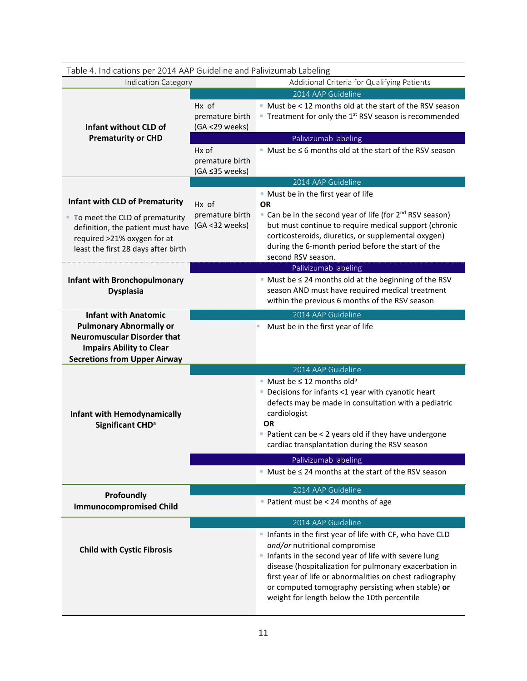| Table 4. Indications per 2014 AAP Guideline and Palivizumab Labeling  |                 |                                                                                                      |
|-----------------------------------------------------------------------|-----------------|------------------------------------------------------------------------------------------------------|
| Indication Category                                                   |                 | Additional Criteria for Qualifying Patients                                                          |
|                                                                       |                 | 2014 AAP Guideline                                                                                   |
|                                                                       | Hx of           | • Must be < 12 months old at the start of the RSV season                                             |
|                                                                       | premature birth | <b>Treatment for only the 1st RSV season is recommended</b>                                          |
| Infant without CLD of                                                 | (GA <29 weeks)  |                                                                                                      |
| <b>Prematurity or CHD</b>                                             |                 | Palivizumab labeling                                                                                 |
|                                                                       | Hx of           | $\blacksquare$ Must be $\leq$ 6 months old at the start of the RSV season                            |
|                                                                       | premature birth |                                                                                                      |
|                                                                       | (GA ≤35 weeks)  | 2014 AAP Guideline                                                                                   |
|                                                                       |                 | • Must be in the first year of life                                                                  |
| <b>Infant with CLD of Prematurity</b>                                 | Hx of           | <b>OR</b>                                                                                            |
|                                                                       | premature birth | • Can be in the second year of life (for 2 <sup>nd</sup> RSV season)                                 |
| • To meet the CLD of prematurity<br>definition, the patient must have | (GA <32 weeks)  | but must continue to require medical support (chronic                                                |
| required >21% oxygen for at                                           |                 | corticosteroids, diuretics, or supplemental oxygen)                                                  |
| least the first 28 days after birth                                   |                 | during the 6-month period before the start of the                                                    |
|                                                                       |                 | second RSV season.                                                                                   |
|                                                                       |                 | Palivizumab labeling                                                                                 |
| <b>Infant with Bronchopulmonary</b>                                   |                 | $\blacksquare$ Must be $\leq$ 24 months old at the beginning of the RSV                              |
| <b>Dysplasia</b>                                                      |                 | season AND must have required medical treatment                                                      |
|                                                                       |                 | within the previous 6 months of the RSV season                                                       |
| <b>Infant with Anatomic</b>                                           |                 | 2014 AAP Guideline                                                                                   |
| <b>Pulmonary Abnormally or</b>                                        |                 | Must be in the first year of life                                                                    |
| <b>Neuromuscular Disorder that</b>                                    |                 |                                                                                                      |
| <b>Impairs Ability to Clear</b>                                       |                 |                                                                                                      |
|                                                                       |                 |                                                                                                      |
| <b>Secretions from Upper Airway</b>                                   |                 |                                                                                                      |
|                                                                       |                 | 2014 AAP Guideline                                                                                   |
|                                                                       |                 | • Must be $\leq$ 12 months old <sup>a</sup>                                                          |
|                                                                       |                 | • Decisions for infants <1 year with cyanotic heart                                                  |
|                                                                       |                 | defects may be made in consultation with a pediatric                                                 |
| <b>Infant with Hemodynamically</b>                                    |                 | cardiologist<br><b>OR</b>                                                                            |
| Significant CHD <sup>a</sup>                                          |                 |                                                                                                      |
|                                                                       |                 | Patient can be < 2 years old if they have undergone<br>cardiac transplantation during the RSV season |
|                                                                       |                 |                                                                                                      |
|                                                                       |                 | Palivizumab labeling                                                                                 |
|                                                                       |                 | $Must be \leq 24$ months at the start of the RSV season                                              |
|                                                                       |                 | 2014 AAP Guideline                                                                                   |
| Profoundly<br><b>Immunocompromised Child</b>                          |                 | Patient must be < 24 months of age                                                                   |
|                                                                       |                 |                                                                                                      |
|                                                                       |                 | 2014 AAP Guideline                                                                                   |
|                                                                       |                 | Infants in the first year of life with CF, who have CLD<br>and/or nutritional compromise             |
| <b>Child with Cystic Fibrosis</b>                                     |                 | Infants in the second year of life with severe lung                                                  |
|                                                                       |                 | disease (hospitalization for pulmonary exacerbation in                                               |
|                                                                       |                 | first year of life or abnormalities on chest radiography                                             |
|                                                                       |                 | or computed tomography persisting when stable) or                                                    |
|                                                                       |                 | weight for length below the 10th percentile                                                          |

#### <span id="page-11-0"></span>Table 4. Indications per 2014 AAP Guideline and Palivizumab Labeling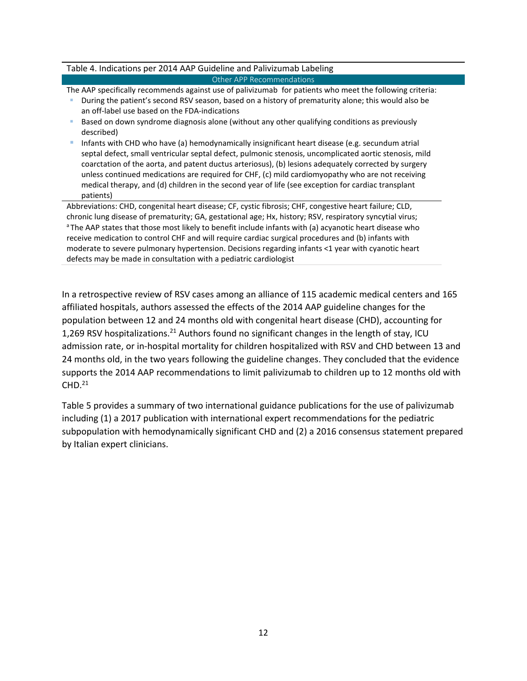#### Table 4. Indications per 2014 AAP Guideline and Palivizumab Labeling Other APP Recommendations

The AAP specifically recommends against use of palivizumab for patients who meet the following criteria:

- During the patient's second RSV season, based on a history of prematurity alone; this would also be an off-label use based on the FDA-indications
- Based on down syndrome diagnosis alone (without any other qualifying conditions as previously described)
- Infants with CHD who have (a) hemodynamically insignificant heart disease (e.g. secundum atrial septal defect, small ventricular septal defect, pulmonic stenosis, uncomplicated aortic stenosis, mild coarctation of the aorta, and patent ductus arteriosus), (b) lesions adequately corrected by surgery unless continued medications are required for CHF, (c) mild cardiomyopathy who are not receiving medical therapy, and (d) children in the second year of life (see exception for cardiac transplant patients)

Abbreviations: CHD, congenital heart disease; CF, cystic fibrosis; CHF, congestive heart failure; CLD, chronic lung disease of prematurity; GA, gestational age; Hx, history; RSV, respiratory syncytial virus; <sup>a</sup> The AAP states that those most likely to benefit include infants with (a) acyanotic heart disease who receive medication to control CHF and will require cardiac surgical procedures and (b) infants with moderate to severe pulmonary hypertension. Decisions regarding infants <1 year with cyanotic heart defects may be made in consultation with a pediatric cardiologist

In a retrospective review of RSV cases among an alliance of 115 academic medical centers and 165 affiliated hospitals, authors assessed the effects of the 2014 AAP guideline changes for the population between 12 and 24 months old with congenital heart disease (CHD), accounting for 1,269 RSV hospitalizations.<sup>21</sup> Authors found no significant changes in the length of stay, ICU admission rate, or in-hospital mortality for children hospitalized with RSV and CHD between 13 and 24 months old, in the two years following the guideline changes. They concluded that the evidence supports the 2014 AAP recommendations to limit palivizumab to children up to 12 months old with  $CHD.<sup>21</sup>$ 

Table 5 provides a summary of two international guidance publications for the use of palivizumab including (1) a 2017 publication with international expert recommendations for the pediatric subpopulation with hemodynamically significant CHD and (2) a 2016 consensus statement prepared by Italian expert clinicians.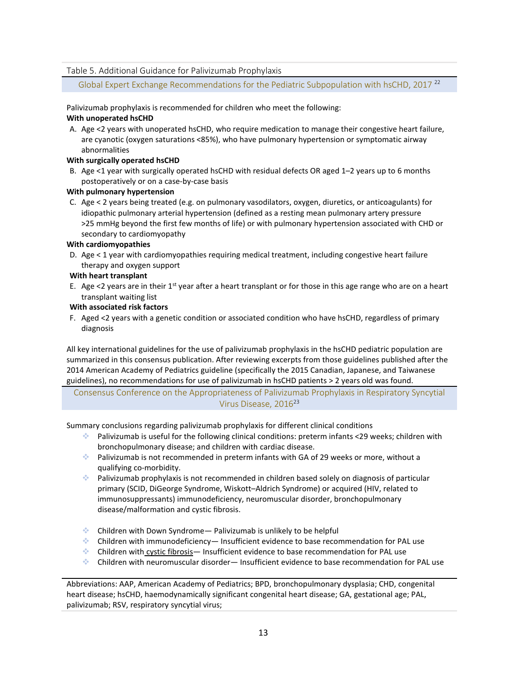#### <span id="page-13-0"></span>Table 5. Additional Guidance for Palivizumab Prophylaxis

Global Expert Exchange Recommendations for the Pediatric Subpopulation with hsCHD, 2017<sup>22</sup>

Palivizumab prophylaxis is recommended for children who meet the following: **With unoperated hsCHD**

A. Age <2 years with unoperated hsCHD, who require medication to manage their congestive heart failure, are cyanotic (oxygen saturations <85%), who have pulmonary hypertension or symptomatic airway abnormalities

#### **With surgically operated hsCHD**

B. Age <1 year with surgically operated hsCHD with residual defects OR aged 1–2 years up to 6 months postoperatively or on a case-by-case basis

#### **With pulmonary hypertension**

C. Age < 2 years being treated (e.g. on pulmonary vasodilators, oxygen, diuretics, or anticoagulants) for idiopathic pulmonary arterial hypertension (defined as a resting mean pulmonary artery pressure >25 mmHg beyond the first few months of life) or with pulmonary hypertension associated with CHD or secondary to cardiomyopathy

#### **With cardiomyopathies**

D. Age < 1 year with cardiomyopathies requiring medical treatment, including congestive heart failure therapy and oxygen support

#### **With heart transplant**

E. Age <2 years are in their 1<sup>st</sup> year after a heart transplant or for those in this age range who are on a heart transplant waiting list

#### **With associated risk factors**

F. Aged <2 years with a genetic condition or associated condition who have hsCHD, regardless of primary diagnosis

All key international guidelines for the use of palivizumab prophylaxis in the hsCHD pediatric population are summarized in this consensus publication. After reviewing excerpts from those guidelines published after the 2014 American Academy of Pediatrics guideline (specifically the 2015 Canadian, Japanese, and Taiwanese guidelines), no recommendations for use of palivizumab in hsCHD patients > 2 years old was found.

Consensus Conference on the Appropriateness of Palivizumab Prophylaxis in Respiratory Syncytial Virus Disease, 2016<sup>23</sup>

Summary conclusions regarding palivizumab prophylaxis for different clinical conditions

- Palivizumab is useful for the following clinical conditions: preterm infants <29 weeks; children with bronchopulmonary disease; and children with cardiac disease.
- Palivizumab is not recommended in preterm infants with GA of 29 weeks or more, without a qualifying co-morbidity.
- $\bullet$  Palivizumab prophylaxis is not recommended in children based solely on diagnosis of particular primary (SCID, DiGeorge Syndrome, Wiskott–Aldrich Syndrome) or acquired (HIV, related to immunosuppressants) immunodeficiency, neuromuscular disorder, bronchopulmonary disease/malformation and cystic fibrosis.
- **Children with Down Syndrome** Palivizumab is unlikely to be helpful
- Children with immunodeficiency— Insufficient evidence to base recommendation for PAL use
- Children with cystic fibrosis— Insufficient evidence to base recommendation for PAL use
- Children with neuromuscular disorder— Insufficient evidence to base recommendation for PAL use

Abbreviations: AAP, American Academy of Pediatrics; BPD, bronchopulmonary dysplasia; CHD, congenital heart disease; hsCHD, haemodynamically significant congenital heart disease; GA, gestational age; PAL, palivizumab; RSV, respiratory syncytial virus;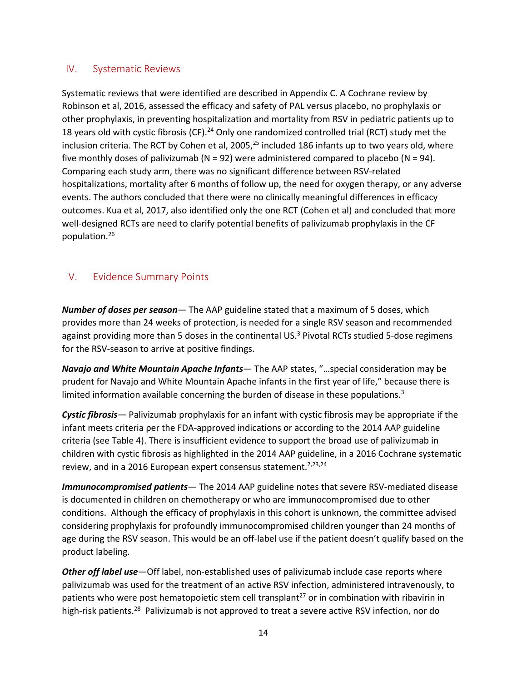### <span id="page-14-0"></span>IV. Systematic Reviews

Systematic reviews that were identified are described in Appendix C. A Cochrane review by Robinson et al, 2016, assessed the efficacy and safety of PAL versus placebo, no prophylaxis or other prophylaxis, in preventing hospitalization and mortality from RSV in pediatric patients up to 18 years old with cystic fibrosis (CF).<sup>24</sup> Only one randomized controlled trial (RCT) study met the inclusion criteria. The RCT by Cohen et al, 2005, $^{25}$  included 186 infants up to two years old, where five monthly doses of palivizumab ( $N = 92$ ) were administered compared to placebo ( $N = 94$ ). Comparing each study arm, there was no significant difference between RSV-related hospitalizations, mortality after 6 months of follow up, the need for oxygen therapy, or any adverse events. The authors concluded that there were no clinically meaningful differences in efficacy outcomes. Kua et al, 2017, also identified only the one RCT (Cohen et al) and concluded that more well-designed RCTs are need to clarify potential benefits of palivizumab prophylaxis in the CF population.26

### <span id="page-14-1"></span>V. Evidence Summary Points

*Number of doses per season*— The AAP guideline stated that a maximum of 5 doses, which provides more than 24 weeks of protection, is needed for a single RSV season and recommended against providing more than 5 doses in the continental US.<sup>3</sup> Pivotal RCTs studied 5-dose regimens for the RSV-season to arrive at positive findings.

*Navajo and White Mountain Apache Infants*— The AAP states, "…special consideration may be prudent for Navajo and White Mountain Apache infants in the first year of life," because there is limited information available concerning the burden of disease in these populations. $3$ 

*Cystic fibrosis*— Palivizumab prophylaxis for an infant with cystic fibrosis may be appropriate if the infant meets criteria per the FDA-approved indications or according to the 2014 AAP guideline criteria (see Table 4). There is insufficient evidence to support the broad use of palivizumab in children with cystic fibrosis as highlighted in the 2014 AAP guideline, in a 2016 Cochrane systematic review, and in a 2016 European expert consensus statement.<sup>2,23,24</sup>

*Immunocompromised patients*— The 2014 AAP guideline notes that severe RSV-mediated disease is documented in children on chemotherapy or who are immunocompromised due to other conditions. Although the efficacy of prophylaxis in this cohort is unknown, the committee advised considering prophylaxis for profoundly immunocompromised children younger than 24 months of age during the RSV season. This would be an off-label use if the patient doesn't qualify based on the product labeling.

*Other off label use*—Off label, non-established uses of palivizumab include case reports where palivizumab was used for the treatment of an active RSV infection, administered intravenously, to patients who were post hematopoietic stem cell transplant<sup>27</sup> or in combination with ribavirin in high-risk patients.<sup>28</sup> Palivizumab is not approved to treat a severe active RSV infection, nor do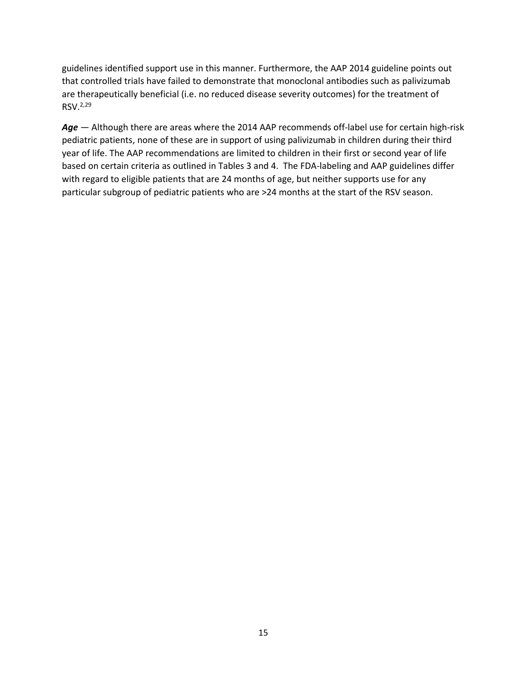guidelines identified support use in this manner. Furthermore, the AAP 2014 guideline points out that controlled trials have failed to demonstrate that monoclonal antibodies such as palivizumab are therapeutically beneficial (i.e. no reduced disease severity outcomes) for the treatment of RSV.2,29

Age - Although there are areas where the 2014 AAP recommends off-label use for certain high-risk pediatric patients, none of these are in support of using palivizumab in children during their third year of life. The AAP recommendations are limited to children in their first or second year of life based on certain criteria as outlined in Tables 3 and 4. The FDA-labeling and AAP guidelines differ with regard to eligible patients that are 24 months of age, but neither supports use for any particular subgroup of pediatric patients who are >24 months at the start of the RSV season.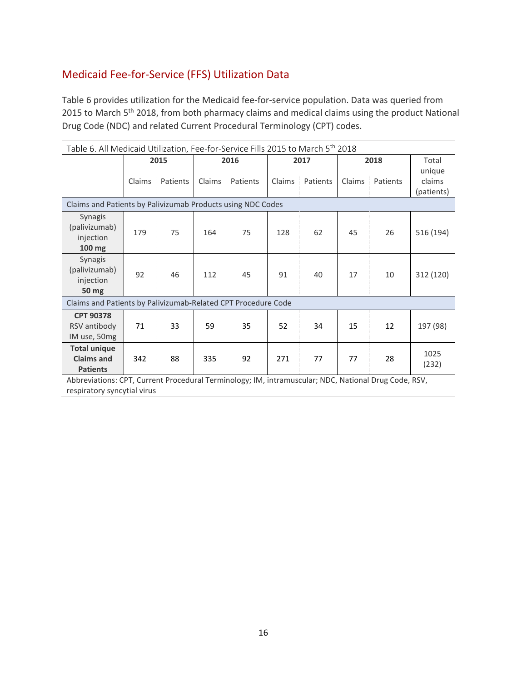# <span id="page-16-0"></span>Medicaid Fee-for-Service (FFS) Utilization Data

Table 6 provides utilization for the Medicaid fee-for-service population. Data was queried from 2015 to March 5<sup>th</sup> 2018, from both pharmacy claims and medical claims using the product National Drug Code (NDC) and related Current Procedural Terminology (CPT) codes.

<span id="page-16-1"></span>

| Table 6. All Medicaid Utilization, Fee-for-Service Fills 2015 to March 5 <sup>th</sup> 2018 |        |          |        |          |              |          |        |          |                                |  |      |  |  |  |
|---------------------------------------------------------------------------------------------|--------|----------|--------|----------|--------------|----------|--------|----------|--------------------------------|--|------|--|--|--|
|                                                                                             | 2015   |          |        |          | 2016<br>2017 |          |        |          |                                |  | 2018 |  |  |  |
|                                                                                             | Claims | Patients | Claims | Patients | Claims       | Patients | Claims | Patients | unique<br>claims<br>(patients) |  |      |  |  |  |
| Claims and Patients by Palivizumab Products using NDC Codes                                 |        |          |        |          |              |          |        |          |                                |  |      |  |  |  |
| <b>Synagis</b><br>(palivizumab)<br>injection<br>100 mg                                      | 179    | 75       | 164    | 75       | 128          | 62       | 45     | 26       | 516 (194)                      |  |      |  |  |  |
| <b>Synagis</b><br>(palivizumab)<br>injection<br>50 mg                                       | 92     | 46       | 112    | 45       | 91           | 40       | 17     | 10       | 312 (120)                      |  |      |  |  |  |
| Claims and Patients by Palivizumab-Related CPT Procedure Code                               |        |          |        |          |              |          |        |          |                                |  |      |  |  |  |
| <b>CPT 90378</b><br>RSV antibody<br>IM use, 50mg                                            | 71     | 33       | 59     | 35       | 52           | 34       | 15     | 12       | 197 (98)                       |  |      |  |  |  |
| <b>Total unique</b><br><b>Claims and</b><br><b>Patients</b>                                 | 342    | 88       | 335    | 92       | 271          | 77       | 77     | 28       | 1025<br>(232)                  |  |      |  |  |  |

Abbreviations: CPT, Current Procedural Terminology; IM, intramuscular; NDC, National Drug Code, RSV, respiratory syncytial virus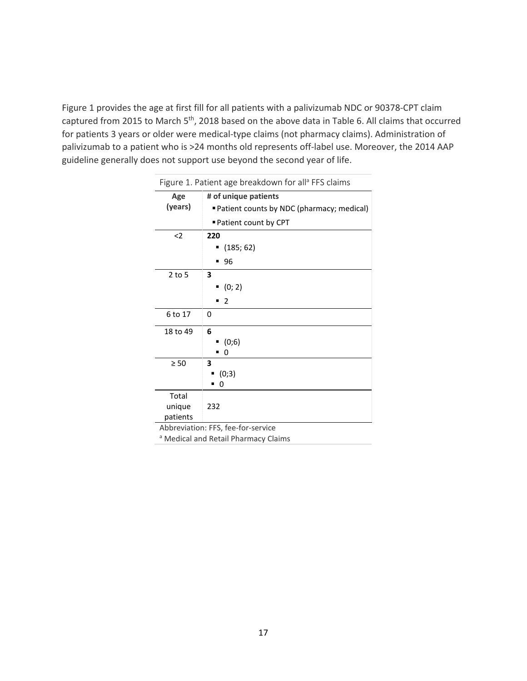Figure 1 provides the age at first fill for all patients with a palivizumab NDC or 90378-CPT claim captured from 2015 to March 5<sup>th</sup>, 2018 based on the above data in Table 6. All claims that occurred for patients 3 years or older were medical-type claims (not pharmacy claims). Administration of palivizumab to a patient who is >24 months old represents off-label use. Moreover, the 2014 AAP guideline generally does not support use beyond the second year of life.

<span id="page-17-0"></span>

| Figure 1. Patient age breakdown for all <sup>a</sup> FFS claims |                                           |  |  |  |  |  |  |
|-----------------------------------------------------------------|-------------------------------------------|--|--|--|--|--|--|
| Age                                                             | # of unique patients                      |  |  |  |  |  |  |
| (years)                                                         | Patient counts by NDC (pharmacy; medical) |  |  |  |  |  |  |
|                                                                 | ■ Patient count by CPT                    |  |  |  |  |  |  |
| $2$                                                             | 220                                       |  |  |  |  |  |  |
|                                                                 | (185; 62)<br>٠                            |  |  |  |  |  |  |
|                                                                 | 96                                        |  |  |  |  |  |  |
| $2$ to 5                                                        | 3                                         |  |  |  |  |  |  |
|                                                                 | (0; 2)                                    |  |  |  |  |  |  |
|                                                                 | 2                                         |  |  |  |  |  |  |
| 6 to 17                                                         | 0                                         |  |  |  |  |  |  |
| 18 to 49                                                        | 6                                         |  |  |  |  |  |  |
|                                                                 | (0;6)                                     |  |  |  |  |  |  |
|                                                                 | 0                                         |  |  |  |  |  |  |
| $\geq 50$                                                       | 3                                         |  |  |  |  |  |  |
|                                                                 | (0;3)                                     |  |  |  |  |  |  |
|                                                                 | 0<br>■                                    |  |  |  |  |  |  |
| Total                                                           |                                           |  |  |  |  |  |  |
| unique                                                          | 232                                       |  |  |  |  |  |  |
| patients                                                        |                                           |  |  |  |  |  |  |
|                                                                 | Abbrovistian: EES foo for convice         |  |  |  |  |  |  |

Abbreviation: FFS, fee-for-service

a Medical and Retail Pharmacy Claims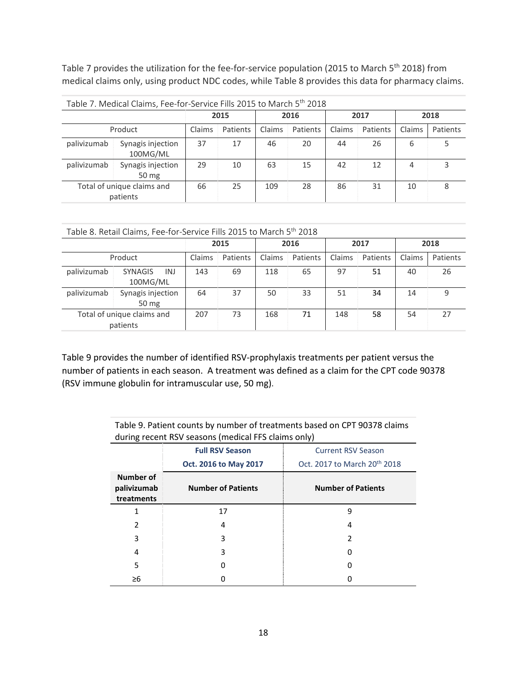Table 7 provides the utilization for the fee-for-service population (2015 to March 5<sup>th</sup> 2018) from medical claims only, using product NDC codes, while Table 8 provides this data for pharmacy claims.

<span id="page-18-0"></span>

| Table 7. Medical Claims, Fee-for-Service Fills 2015 to March 5 <sup>th</sup> 2018 |                               |        |          |        |          |        |          |                    |   |  |
|-----------------------------------------------------------------------------------|-------------------------------|--------|----------|--------|----------|--------|----------|--------------------|---|--|
|                                                                                   |                               | 2015   |          | 2016   |          | 2017   |          | 2018               |   |  |
|                                                                                   | Product                       | Claims | Patients | Claims | Patients | Claims | Patients | Claims<br>Patients |   |  |
| palivizumab                                                                       | Synagis injection<br>100MG/ML | 37     | 17       | 46     | 20       | 44     | 26       | 6                  |   |  |
| palivizumab                                                                       | Synagis injection<br>50 mg    | 29     | 10       | 63     | 15       | 42     | 12       | 4                  |   |  |
| Total of unique claims and<br>patients                                            |                               | 66     | 25       | 109    | 28       | 86     | 31       | 10                 | 8 |  |

<span id="page-18-1"></span>

| Table 8. Retail Claims, Fee-for-Service Fills 2015 to March 5 <sup>th</sup> 2018 |  |
|----------------------------------------------------------------------------------|--|
|----------------------------------------------------------------------------------|--|

|                                        |                                          | 2015   |          | 2016   |          | 2017   |          | 2018   |          |
|----------------------------------------|------------------------------------------|--------|----------|--------|----------|--------|----------|--------|----------|
| Product                                |                                          | Claims | Patients | Claims | Patients | Claims | Patients | Claims | Patients |
| palivizumab                            | <b>INJ</b><br><b>SYNAGIS</b><br>100MG/ML | 143    | 69       | 118    | 65       | 97     | 51       | 40     | 26       |
| palivizumab                            | Synagis injection<br>50 mg               | 64     | 37       | 50     | 33       | 51     | 34       | 14     | 9        |
| Total of unique claims and<br>patients |                                          | 207    | 73       | 168    | 71       | 148    | 58       | 54     | 27       |

Table 9 provides the number of identified RSV-prophylaxis treatments per patient versus the number of patients in each season. A treatment was defined as a claim for the CPT code 90378 (RSV immune globulin for intramuscular use, 50 mg).

> <span id="page-18-2"></span>Table 9. Patient counts by number of treatments based on CPT 90378 claims during recent RSV seasons (medical FFS claims only)

|                                        |                           | . .                                      |
|----------------------------------------|---------------------------|------------------------------------------|
|                                        | <b>Full RSV Season</b>    | <b>Current RSV Season</b>                |
|                                        | Oct. 2016 to May 2017     | Oct. 2017 to March 20 <sup>th</sup> 2018 |
| Number of<br>palivizumab<br>treatments | <b>Number of Patients</b> | <b>Number of Patients</b>                |
|                                        | 17                        | 9                                        |
| $\mathcal{P}$                          | 4                         | 4                                        |
| 3                                      | 3                         | 2                                        |
| 4                                      | 3                         | 0                                        |
| 5                                      |                           | O                                        |
| $\geq 6$                               |                           |                                          |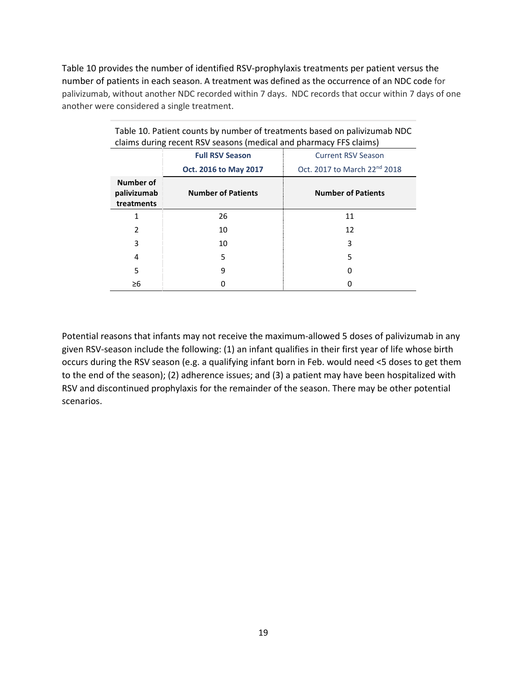Table 10 provides the number of identified RSV-prophylaxis treatments per patient versus the number of patients in each season. A treatment was defined as the occurrence of an NDC code for palivizumab, without another NDC recorded within 7 days. NDC records that occur within 7 days of one another were considered a single treatment.

| claims during recent RSV seasons (medical and pharmacy FFS claims) |                           |                                          |  |
|--------------------------------------------------------------------|---------------------------|------------------------------------------|--|
|                                                                    | <b>Full RSV Season</b>    | <b>Current RSV Season</b>                |  |
|                                                                    | Oct. 2016 to May 2017     | Oct. 2017 to March 22 <sup>nd</sup> 2018 |  |
| Number of<br>palivizumab<br>treatments                             | <b>Number of Patients</b> | <b>Number of Patients</b>                |  |
| 1                                                                  | 26                        | 11                                       |  |
| $\overline{2}$                                                     | 10                        | 12                                       |  |
| 3                                                                  | 10                        | 3                                        |  |
| 4                                                                  | 5                         | 5                                        |  |
| 5                                                                  | 9                         | 0                                        |  |
| ≥6                                                                 |                           |                                          |  |

<span id="page-19-0"></span>Table 10. Patient counts by number of treatments based on palivizumab NDC

Potential reasons that infants may not receive the maximum-allowed 5 doses of palivizumab in any given RSV-season include the following: (1) an infant qualifies in their first year of life whose birth occurs during the RSV season (e.g. a qualifying infant born in Feb. would need <5 doses to get them to the end of the season); (2) adherence issues; and (3) a patient may have been hospitalized with RSV and discontinued prophylaxis for the remainder of the season. There may be other potential scenarios.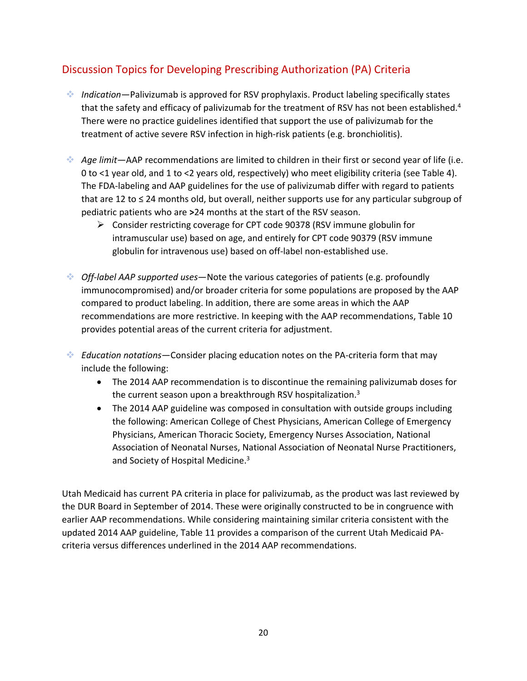# <span id="page-20-0"></span>Discussion Topics for Developing Prescribing Authorization (PA) Criteria

- *Indication*—Palivizumab is approved for RSV prophylaxis. Product labeling specifically states that the safety and efficacy of palivizumab for the treatment of RSV has not been established.<sup>4</sup> There were no practice guidelines identified that support the use of palivizumab for the treatment of active severe RSV infection in high-risk patients (e.g. bronchiolitis).
- *Age limit*—AAP recommendations are limited to children in their first or second year of life (i.e. 0 to <1 year old, and 1 to <2 years old, respectively) who meet eligibility criteria (see Table 4). The FDA-labeling and AAP guidelines for the use of palivizumab differ with regard to patients that are 12 to  $\leq$  24 months old, but overall, neither supports use for any particular subgroup of pediatric patients who are **>**24 months at the start of the RSV season.
	- Consider restricting coverage for CPT code 90378 (RSV immune globulin for intramuscular use) based on age, and entirely for CPT code 90379 (RSV immune globulin for intravenous use) based on off-label non-established use.
- *Off-label AAP supported uses*—Note the various categories of patients (e.g. profoundly immunocompromised) and/or broader criteria for some populations are proposed by the AAP compared to product labeling. In addition, there are some areas in which the AAP recommendations are more restrictive. In keeping with the AAP recommendations, Table 10 provides potential areas of the current criteria for adjustment.
- *Education notations*—Consider placing education notes on the PA-criteria form that may include the following:
	- The 2014 AAP recommendation is to discontinue the remaining palivizumab doses for the current season upon a breakthrough RSV hospitalization.<sup>3</sup>
	- The 2014 AAP guideline was composed in consultation with outside groups including the following: American College of Chest Physicians, American College of Emergency Physicians, American Thoracic Society, Emergency Nurses Association, National Association of Neonatal Nurses, National Association of Neonatal Nurse Practitioners, and Society of Hospital Medicine.<sup>3</sup>

Utah Medicaid has current PA criteria in place for palivizumab, as the product was last reviewed by the DUR Board in September of 2014. These were originally constructed to be in congruence with earlier AAP recommendations. While considering maintaining similar criteria consistent with the updated 2014 AAP guideline, Table 11 provides a comparison of the current Utah Medicaid PAcriteria versus differences underlined in the 2014 AAP recommendations.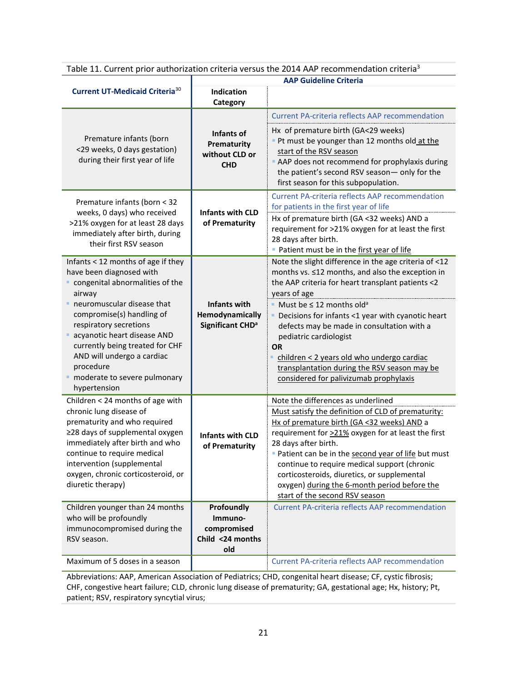Table 11. Current prior authorization criteria versus the 2014 AAP recommendation criteria<sup>3</sup>

|                                                                                                                                                                                                                                                                                           | <b>AAP Guideline Criteria</b>                                          |                                                                                                                                                                                                                                                                                                                                                                                                                                                             |  |
|-------------------------------------------------------------------------------------------------------------------------------------------------------------------------------------------------------------------------------------------------------------------------------------------|------------------------------------------------------------------------|-------------------------------------------------------------------------------------------------------------------------------------------------------------------------------------------------------------------------------------------------------------------------------------------------------------------------------------------------------------------------------------------------------------------------------------------------------------|--|
| <b>Current UT-Medicaid Criteria</b> <sup>30</sup>                                                                                                                                                                                                                                         | Indication<br>Category                                                 |                                                                                                                                                                                                                                                                                                                                                                                                                                                             |  |
|                                                                                                                                                                                                                                                                                           |                                                                        | <b>Current PA-criteria reflects AAP recommendation</b>                                                                                                                                                                                                                                                                                                                                                                                                      |  |
| Premature infants (born<br><29 weeks, 0 days gestation)<br>during their first year of life                                                                                                                                                                                                | Infants of<br>Prematurity<br>without CLD or<br><b>CHD</b>              | Hx of premature birth (GA<29 weeks)<br>Pt must be younger than 12 months old at the<br>start of the RSV season<br>AAP does not recommend for prophylaxis during<br>the patient's second RSV season- only for the<br>first season for this subpopulation.                                                                                                                                                                                                    |  |
| Premature infants (born < 32                                                                                                                                                                                                                                                              |                                                                        | <b>Current PA-criteria reflects AAP recommendation</b><br>for patients in the first year of life                                                                                                                                                                                                                                                                                                                                                            |  |
| weeks, 0 days) who received<br>>21% oxygen for at least 28 days<br>immediately after birth, during<br>their first RSV season                                                                                                                                                              | <b>Infants with CLD</b><br>of Prematurity                              | Hx of premature birth (GA <32 weeks) AND a<br>requirement for >21% oxygen for at least the first<br>28 days after birth.<br>Patient must be in the first year of life                                                                                                                                                                                                                                                                                       |  |
| Infants < 12 months of age if they<br>have been diagnosed with<br>congenital abnormalities of the<br>airway                                                                                                                                                                               |                                                                        | Note the slight difference in the age criteria of <12<br>months vs. ≤12 months, and also the exception in<br>the AAP criteria for heart transplant patients <2<br>years of age                                                                                                                                                                                                                                                                              |  |
| neuromuscular disease that<br>compromise(s) handling of<br>respiratory secretions<br>acyanotic heart disease AND<br>currently being treated for CHF<br>AND will undergo a cardiac<br>procedure<br>moderate to severe pulmonary<br>hypertension                                            | <b>Infants with</b><br>Hemodynamically<br>Significant CHD <sup>a</sup> | Must be $\leq 12$ months old <sup>a</sup><br>Decisions for infants <1 year with cyanotic heart<br>defects may be made in consultation with a<br>pediatric cardiologist<br><b>OR</b><br>children < 2 years old who undergo cardiac<br>transplantation during the RSV season may be<br>considered for palivizumab prophylaxis                                                                                                                                 |  |
| Children < 24 months of age with<br>chronic lung disease of<br>prematurity and who required<br>≥28 days of supplemental oxygen<br>immediately after birth and who<br>continue to require medical<br>intervention (supplemental<br>oxygen, chronic corticosteroid, or<br>diuretic therapy) | <b>Infants with CLD</b><br>of Prematurity                              | Note the differences as underlined<br>Must satisfy the definition of CLD of prematurity:<br>Hx of premature birth (GA <32 weeks) AND a<br>requirement for >21% oxygen for at least the first<br>28 days after birth.<br>Patient can be in the second year of life but must<br>continue to require medical support (chronic<br>corticosteroids, diuretics, or supplemental<br>oxygen) during the 6-month period before the<br>start of the second RSV season |  |
| Children younger than 24 months<br>who will be profoundly<br>immunocompromised during the<br>RSV season.                                                                                                                                                                                  | Profoundly<br>Immuno-<br>compromised<br>Child <24 months<br>old        | <b>Current PA-criteria reflects AAP recommendation</b>                                                                                                                                                                                                                                                                                                                                                                                                      |  |
| Maximum of 5 doses in a season                                                                                                                                                                                                                                                            |                                                                        | <b>Current PA-criteria reflects AAP recommendation</b>                                                                                                                                                                                                                                                                                                                                                                                                      |  |

Abbreviations: AAP, American Association of Pediatrics; CHD, congenital heart disease; CF, cystic fibrosis; CHF, congestive heart failure; CLD, chronic lung disease of prematurity; GA, gestational age; Hx, history; Pt, patient; RSV, respiratory syncytial virus;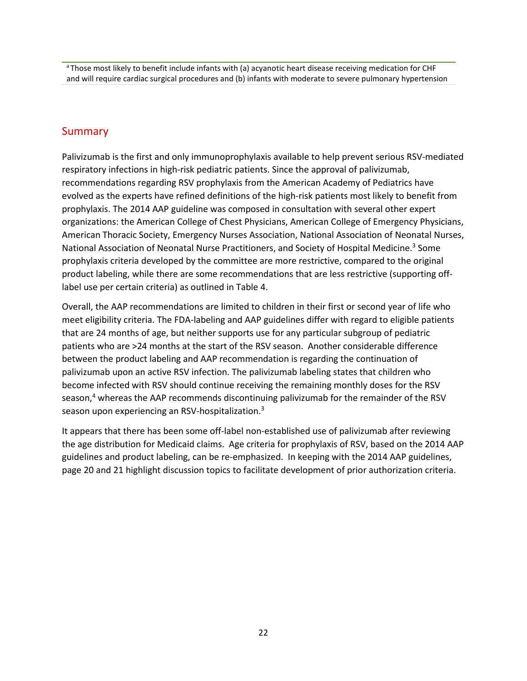a Those most likely to benefit include infants with (a) acyanotic heart disease receiving medication for CHF and will require cardiac surgical procedures and (b) infants with moderate to severe pulmonary hypertension

### <span id="page-22-0"></span>Summary

Palivizumab is the first and only immunoprophylaxis available to help prevent serious RSV-mediated respiratory infections in high-risk pediatric patients. Since the approval of palivizumab, recommendations regarding RSV prophylaxis from the American Academy of Pediatrics have evolved as the experts have refined definitions of the high-risk patients most likely to benefit from prophylaxis. The 2014 AAP guideline was composed in consultation with several other expert organizations: the American College of Chest Physicians, American College of Emergency Physicians, American Thoracic Society, Emergency Nurses Association, National Association of Neonatal Nurses, National Association of Neonatal Nurse Practitioners, and Society of Hospital Medicine.<sup>3</sup> Some prophylaxis criteria developed by the committee are more restrictive, compared to the original product labeling, while there are some recommendations that are less restrictive (supporting offlabel use per certain criteria) as outlined in Table 4.

Overall, the AAP recommendations are limited to children in their first or second year of life who meet eligibility criteria. The FDA-labeling and AAP guidelines differ with regard to eligible patients that are 24 months of age, but neither supports use for any particular subgroup of pediatric patients who are >24 months at the start of the RSV season. Another considerable difference between the product labeling and AAP recommendation is regarding the continuation of palivizumab upon an active RSV infection. The palivizumab labeling states that children who become infected with RSV should continue receiving the remaining monthly doses for the RSV season,<sup>4</sup> whereas the AAP recommends discontinuing palivizumab for the remainder of the RSV season upon experiencing an RSV-hospitalization.<sup>3</sup>

It appears that there has been some off-label non-established use of palivizumab after reviewing the age distribution for Medicaid claims. Age criteria for prophylaxis of RSV, based on the 2014 AAP guidelines and product labeling, can be re-emphasized. In keeping with the 2014 AAP guidelines, page 20 and 21 highlight discussion topics to facilitate development of prior authorization criteria.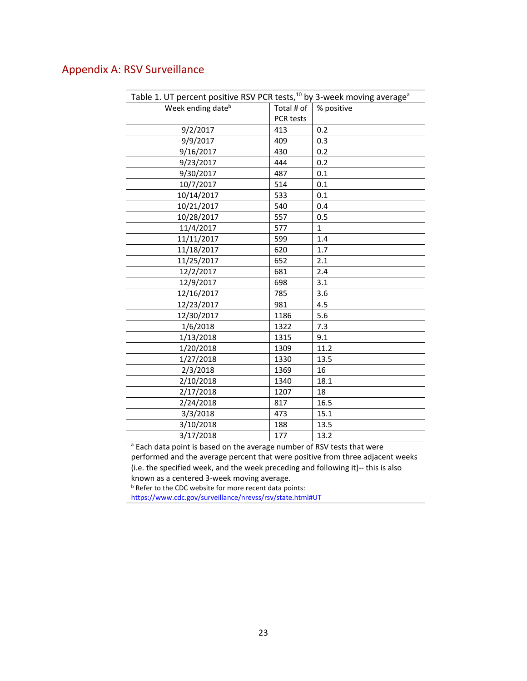## <span id="page-23-0"></span>Appendix A: RSV Surveillance

<span id="page-23-1"></span>

| Table 1. UT percent positive RSV PCR tests, <sup>10</sup> by 3-week moving average <sup>a</sup> |            |              |  |
|-------------------------------------------------------------------------------------------------|------------|--------------|--|
| Week ending date <sup>b</sup>                                                                   | Total # of | % positive   |  |
|                                                                                                 | PCR tests  |              |  |
| 9/2/2017                                                                                        | 413        | 0.2          |  |
| 9/9/2017                                                                                        | 409        | 0.3          |  |
| 9/16/2017                                                                                       | 430        | 0.2          |  |
| 9/23/2017                                                                                       | 444        | 0.2          |  |
| 9/30/2017                                                                                       | 487        | 0.1          |  |
| 10/7/2017                                                                                       | 514        | 0.1          |  |
| 10/14/2017                                                                                      | 533        | 0.1          |  |
| 10/21/2017                                                                                      | 540        | 0.4          |  |
| 10/28/2017                                                                                      | 557        | 0.5          |  |
| 11/4/2017                                                                                       | 577        | $\mathbf{1}$ |  |
| 11/11/2017                                                                                      | 599        | 1.4          |  |
| 11/18/2017                                                                                      | 620        | 1.7          |  |
| 11/25/2017                                                                                      | 652        | 2.1          |  |
| 12/2/2017                                                                                       | 681        | 2.4          |  |
| 12/9/2017                                                                                       | 698        | 3.1          |  |
| 12/16/2017                                                                                      | 785        | 3.6          |  |
| 12/23/2017                                                                                      | 981        | 4.5          |  |
| 12/30/2017                                                                                      | 1186       | 5.6          |  |
| 1/6/2018                                                                                        | 1322       | 7.3          |  |
| 1/13/2018                                                                                       | 1315       | 9.1          |  |
| 1/20/2018                                                                                       | 1309       | 11.2         |  |
| 1/27/2018                                                                                       | 1330       | 13.5         |  |
| 2/3/2018                                                                                        | 1369       | 16           |  |
| 2/10/2018                                                                                       | 1340       | 18.1         |  |
| 2/17/2018                                                                                       | 1207       | 18           |  |
| 2/24/2018                                                                                       | 817        | 16.5         |  |
| 3/3/2018                                                                                        | 473        | 15.1         |  |
| 3/10/2018                                                                                       | 188        | 13.5         |  |
| 3/17/2018                                                                                       | 177        | 13.2         |  |
|                                                                                                 |            |              |  |

<sup>a</sup> Each data point is based on the average number of RSV tests that were performed and the average percent that were positive from three adjacent weeks (i.e. the specified week, and the week preceding and following it)-- this is also known as a centered 3-week moving average.

b Refer to the CDC website for more recent data points:

[https://www.cdc.gov/surveillance/nrevss/rsv/state.html#UT](https://www.cdc.gov/surveillance/nrevss/rsv/state.html%23UT)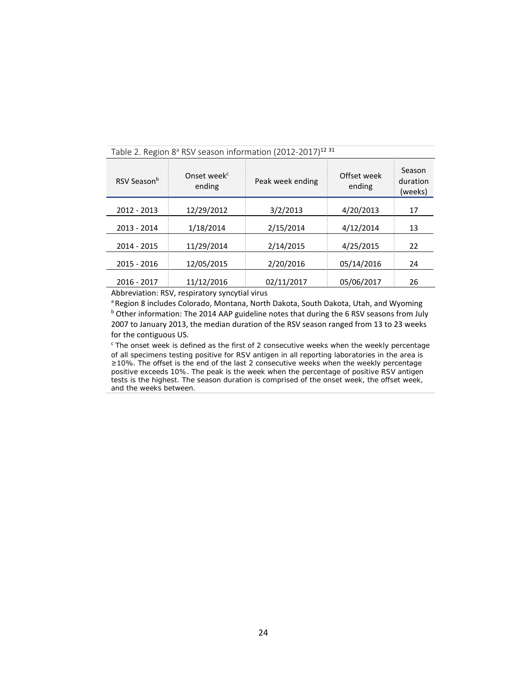| Onset week <sup>c</sup><br>ending | Peak week ending | Offset week<br>ending | Season<br>duration<br>(weeks) |
|-----------------------------------|------------------|-----------------------|-------------------------------|
| 12/29/2012                        | 3/2/2013         | 4/20/2013             | 17                            |
| 1/18/2014                         | 2/15/2014        | 4/12/2014             | 13                            |
| 11/29/2014                        | 2/14/2015        | 4/25/2015             | 22                            |
| 12/05/2015                        | 2/20/2016        | 05/14/2016            | 24                            |
| 11/12/2016                        | 02/11/2017       | 05/06/2017            | 26                            |
|                                   |                  |                       |                               |

### <span id="page-24-0"></span>Table 2. Region 8<sup>ª</sup> RSV season information (2012-2017)<sup>12 31</sup>

Abbreviation: RSV, respiratory syncytial virus

a Region 8 includes Colorado, Montana, North Dakota, South Dakota, Utah, and Wyoming **b** Other information: The 2014 AAP guideline notes that during the 6 RSV seasons from July 2007 to January 2013, the median duration of the RSV season ranged from 13 to 23 weeks for the contiguous US.

 $c$  The onset week is defined as the first of 2 consecutive weeks when the weekly percentage of all specimens testing positive for RSV antigen in all reporting laboratories in the area is ≥10%. The offset is the end of the last 2 consecutive weeks when the weekly percentage positive exceeds 10%. The peak is the week when the percentage of positive RSV antigen tests is the highest. The season duration is comprised of the onset week, the offset week, and the weeks between.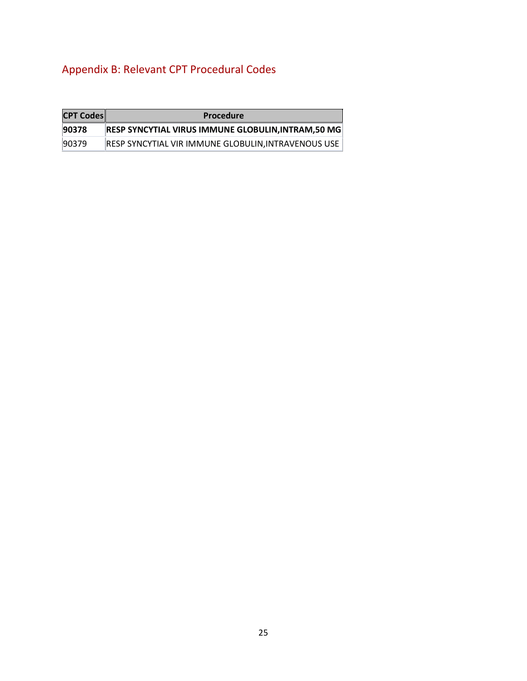# <span id="page-25-0"></span>Appendix B: Relevant CPT Procedural Codes

| <b>CPT Codes</b> | <b>Procedure</b>                                           |
|------------------|------------------------------------------------------------|
| 90378            | <b>RESP SYNCYTIAL VIRUS IMMUNE GLOBULIN, INTRAM, 50 MG</b> |
| 90379            | RESP SYNCYTIAL VIR IMMUNE GLOBULIN, INTRAVENOUS USE        |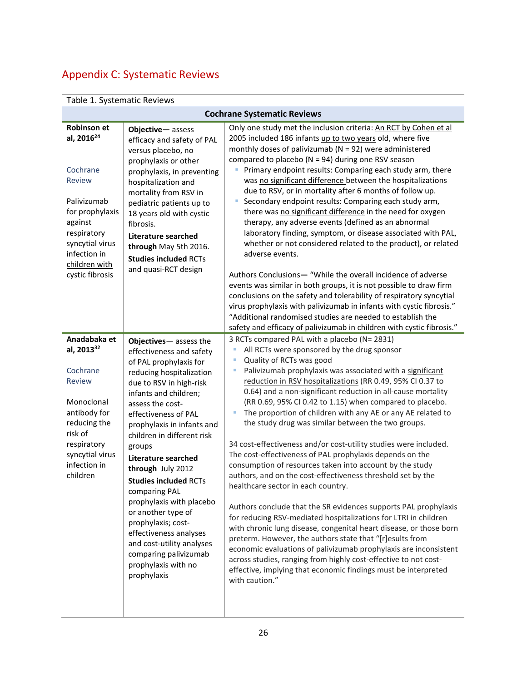# <span id="page-26-0"></span>Appendix C: Systematic Reviews

# Table 1. Systematic Reviews

| <b>Cochrane Systematic Reviews</b>                                                                                                                                                                           |                                                                                                                                                                                                                                                                                                                                                                                                                                                                                                                                                                                 |                                                                                                                                                                                                                                                                                                                                                                                                                                                                                                                                                                                                                                                                                                                                                                                                                                                                                                                                                                                                                                                                                                                                                                                                                                                                                                               |  |
|--------------------------------------------------------------------------------------------------------------------------------------------------------------------------------------------------------------|---------------------------------------------------------------------------------------------------------------------------------------------------------------------------------------------------------------------------------------------------------------------------------------------------------------------------------------------------------------------------------------------------------------------------------------------------------------------------------------------------------------------------------------------------------------------------------|---------------------------------------------------------------------------------------------------------------------------------------------------------------------------------------------------------------------------------------------------------------------------------------------------------------------------------------------------------------------------------------------------------------------------------------------------------------------------------------------------------------------------------------------------------------------------------------------------------------------------------------------------------------------------------------------------------------------------------------------------------------------------------------------------------------------------------------------------------------------------------------------------------------------------------------------------------------------------------------------------------------------------------------------------------------------------------------------------------------------------------------------------------------------------------------------------------------------------------------------------------------------------------------------------------------|--|
| <b>Robinson et</b><br>al, 2016 <sup>24</sup><br>Cochrane<br><b>Review</b><br>Palivizumab<br>for prophylaxis<br>against<br>respiratory<br>syncytial virus<br>infection in<br>children with<br>cystic fibrosis | Objective-assess<br>efficacy and safety of PAL<br>versus placebo, no<br>prophylaxis or other<br>prophylaxis, in preventing<br>hospitalization and<br>mortality from RSV in<br>pediatric patients up to<br>18 years old with cystic<br>fibrosis.<br><b>Literature searched</b><br>through May 5th 2016.<br><b>Studies included RCTs</b><br>and quasi-RCT design                                                                                                                                                                                                                  | Only one study met the inclusion criteria: An RCT by Cohen et al<br>2005 included 186 infants up to two years old, where five<br>monthly doses of palivizumab ( $N = 92$ ) were administered<br>compared to placebo ( $N = 94$ ) during one RSV season<br>Primary endpoint results: Comparing each study arm, there<br>Ľ<br>was no significant difference between the hospitalizations<br>due to RSV, or in mortality after 6 months of follow up.<br>Secondary endpoint results: Comparing each study arm,<br>ш<br>there was no significant difference in the need for oxygen<br>therapy, any adverse events (defined as an abnormal<br>laboratory finding, symptom, or disease associated with PAL,<br>whether or not considered related to the product), or related<br>adverse events.<br>Authors Conclusions-"While the overall incidence of adverse<br>events was similar in both groups, it is not possible to draw firm<br>conclusions on the safety and tolerability of respiratory syncytial<br>virus prophylaxis with palivizumab in infants with cystic fibrosis."<br>"Additional randomised studies are needed to establish the<br>safety and efficacy of palivizumab in children with cystic fibrosis."                                                                                          |  |
| Anadabaka et<br>al, 2013 <sup>32</sup><br>Cochrane<br><b>Review</b><br>Monoclonal<br>antibody for<br>reducing the<br>risk of<br>respiratory<br>syncytial virus<br>infection in<br>children                   | Objectives-assess the<br>effectiveness and safety<br>of PAL prophylaxis for<br>reducing hospitalization<br>due to RSV in high-risk<br>infants and children;<br>assess the cost-<br>effectiveness of PAL<br>prophylaxis in infants and<br>children in different risk<br>groups<br><b>Literature searched</b><br>through July 2012<br><b>Studies included RCTs</b><br>comparing PAL<br>prophylaxis with placebo<br>or another type of<br>prophylaxis; cost-<br>effectiveness analyses<br>and cost-utility analyses<br>comparing palivizumab<br>prophylaxis with no<br>prophylaxis | 3 RCTs compared PAL with a placebo (N= 2831)<br>All RCTs were sponsored by the drug sponsor<br>I.<br>Quality of RCTs was good<br>Palivizumab prophylaxis was associated with a significant<br>reduction in RSV hospitalizations (RR 0.49, 95% CI 0.37 to<br>0.64) and a non-significant reduction in all-cause mortality<br>(RR 0.69, 95% CI 0.42 to 1.15) when compared to placebo.<br>The proportion of children with any AE or any AE related to<br>the study drug was similar between the two groups.<br>34 cost-effectiveness and/or cost-utility studies were included.<br>The cost-effectiveness of PAL prophylaxis depends on the<br>consumption of resources taken into account by the study<br>authors, and on the cost-effectiveness threshold set by the<br>healthcare sector in each country.<br>Authors conclude that the SR evidences supports PAL prophylaxis<br>for reducing RSV-mediated hospitalizations for LTRI in children<br>with chronic lung disease, congenital heart disease, or those born<br>preterm. However, the authors state that "[r]esults from<br>economic evaluations of palivizumab prophylaxis are inconsistent<br>across studies, ranging from highly cost-effective to not cost-<br>effective, implying that economic findings must be interpreted<br>with caution." |  |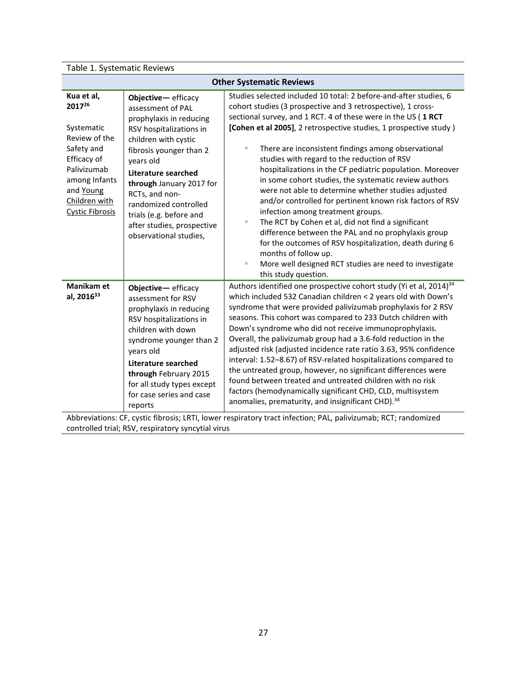|  | Table 1. Systematic Reviews |
|--|-----------------------------|
|--|-----------------------------|

| <b>Other Systematic Reviews</b>                                                                                                                                          |                                                                                                                                                                                                                                                                                                                                                       |                                                                                                                                                                                                                                                                                                                                                                                                                                                                                                                                                                                                                                                                                                                                                                                                                                                                                                                                                                 |  |
|--------------------------------------------------------------------------------------------------------------------------------------------------------------------------|-------------------------------------------------------------------------------------------------------------------------------------------------------------------------------------------------------------------------------------------------------------------------------------------------------------------------------------------------------|-----------------------------------------------------------------------------------------------------------------------------------------------------------------------------------------------------------------------------------------------------------------------------------------------------------------------------------------------------------------------------------------------------------------------------------------------------------------------------------------------------------------------------------------------------------------------------------------------------------------------------------------------------------------------------------------------------------------------------------------------------------------------------------------------------------------------------------------------------------------------------------------------------------------------------------------------------------------|--|
| Kua et al,<br>201726<br>Systematic<br>Review of the<br>Safety and<br>Efficacy of<br>Palivizumab<br>among Infants<br>and Young<br>Children with<br><b>Cystic Fibrosis</b> | Objective-efficacy<br>assessment of PAL<br>prophylaxis in reducing<br>RSV hospitalizations in<br>children with cystic<br>fibrosis younger than 2<br>years old<br><b>Literature searched</b><br>through January 2017 for<br>RCTs, and non-<br>randomized controlled<br>trials (e.g. before and<br>after studies, prospective<br>observational studies, | Studies selected included 10 total: 2 before-and-after studies, 6<br>cohort studies (3 prospective and 3 retrospective), 1 cross-<br>sectional survey, and 1 RCT. 4 of these were in the US (1 RCT<br>[Cohen et al 2005], 2 retrospective studies, 1 prospective study )<br>There are inconsistent findings among observational<br>I.<br>studies with regard to the reduction of RSV<br>hospitalizations in the CF pediatric population. Moreover<br>in some cohort studies, the systematic review authors<br>were not able to determine whether studies adjusted<br>and/or controlled for pertinent known risk factors of RSV<br>infection among treatment groups.<br>The RCT by Cohen et al, did not find a significant<br>ш<br>difference between the PAL and no prophylaxis group<br>for the outcomes of RSV hospitalization, death during 6<br>months of follow up.<br>More well designed RCT studies are need to investigate<br>ш<br>this study question. |  |
| Manikam et<br>al, 2016 <sup>33</sup>                                                                                                                                     | Objective-efficacy<br>assessment for RSV<br>prophylaxis in reducing<br>RSV hospitalizations in<br>children with down<br>syndrome younger than 2<br>years old<br>Literature searched<br>through February 2015<br>for all study types except<br>for case series and case<br>reports                                                                     | Authors identified one prospective cohort study (Yi et al, 2014) <sup>34</sup><br>which included 532 Canadian children < 2 years old with Down's<br>syndrome that were provided palivizumab prophylaxis for 2 RSV<br>seasons. This cohort was compared to 233 Dutch children with<br>Down's syndrome who did not receive immunoprophylaxis.<br>Overall, the palivizumab group had a 3.6-fold reduction in the<br>adjusted risk (adjusted incidence rate ratio 3.63, 95% confidence<br>interval: 1.52-8.67) of RSV-related hospitalizations compared to<br>the untreated group, however, no significant differences were<br>found between treated and untreated children with no risk<br>factors (hemodynamically significant CHD, CLD, multisystem<br>anomalies, prematurity, and insignificant CHD). <sup>34</sup>                                                                                                                                             |  |
| Abbreviations: CF, cystic fibrosis; LRTI, lower respiratory tract infection; PAL, palivizumab; RCT; randomized                                                           |                                                                                                                                                                                                                                                                                                                                                       |                                                                                                                                                                                                                                                                                                                                                                                                                                                                                                                                                                                                                                                                                                                                                                                                                                                                                                                                                                 |  |

controlled trial; RSV, respiratory syncytial virus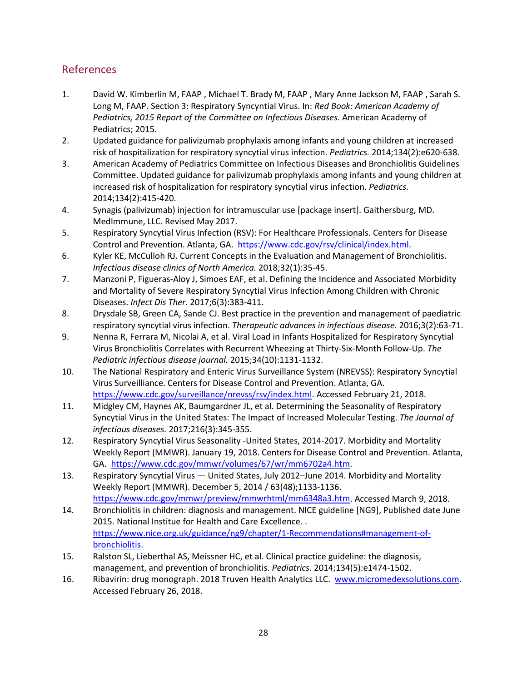## <span id="page-28-0"></span>References

- 1. David W. Kimberlin M, FAAP , Michael T. Brady M, FAAP , Mary Anne Jackson M, FAAP , Sarah S. Long M, FAAP. Section 3: Respiratory Syncyntial Virus. In: *Red Book: American Academy of Pediatrics, 2015 Report of the Committee on Infectious Diseases.* American Academy of Pediatrics; 2015.
- 2. Updated guidance for palivizumab prophylaxis among infants and young children at increased risk of hospitalization for respiratory syncytial virus infection. *Pediatrics.* 2014;134(2):e620-638.
- 3. American Academy of Pediatrics Committee on Infectious Diseases and Bronchiolitis Guidelines Committee. Updated guidance for palivizumab prophylaxis among infants and young children at increased risk of hospitalization for respiratory syncytial virus infection. *Pediatrics.*  2014;134(2):415-420.
- 4. Synagis (palivizumab) injection for intramuscular use [package insert]. Gaithersburg, MD. MedImmune, LLC. Revised May 2017.
- 5. Respiratory Syncytial Virus Infection (RSV): For Healthcare Professionals. Centers for Disease Control and Prevention. Atlanta, GA. [https://www.cdc.gov/rsv/clinical/index.html.](https://www.cdc.gov/rsv/clinical/index.html)
- 6. Kyler KE, McCulloh RJ. Current Concepts in the Evaluation and Management of Bronchiolitis. *Infectious disease clinics of North America.* 2018;32(1):35-45.
- 7. Manzoni P, Figueras-Aloy J, Simoes EAF, et al. Defining the Incidence and Associated Morbidity and Mortality of Severe Respiratory Syncytial Virus Infection Among Children with Chronic Diseases. *Infect Dis Ther.* 2017;6(3):383-411.
- 8. Drysdale SB, Green CA, Sande CJ. Best practice in the prevention and management of paediatric respiratory syncytial virus infection. *Therapeutic advances in infectious disease.* 2016;3(2):63-71.
- 9. Nenna R, Ferrara M, Nicolai A, et al. Viral Load in Infants Hospitalized for Respiratory Syncytial Virus Bronchiolitis Correlates with Recurrent Wheezing at Thirty-Six-Month Follow-Up. *The Pediatric infectious disease journal.* 2015;34(10):1131-1132.
- 10. The National Respiratory and Enteric Virus Surveillance System (NREVSS): Respiratory Syncytial Virus Surveilliance. Centers for Disease Control and Prevention. Atlanta, GA. [https://www.cdc.gov/surveillance/nrevss/rsv/index.html.](https://www.cdc.gov/surveillance/nrevss/rsv/index.html) Accessed February 21, 2018.
- 11. Midgley CM, Haynes AK, Baumgardner JL, et al. Determining the Seasonality of Respiratory Syncytial Virus in the United States: The Impact of Increased Molecular Testing. *The Journal of infectious diseases.* 2017;216(3):345-355.
- 12. Respiratory Syncytial Virus Seasonality -United States, 2014-2017. Morbidity and Mortality Weekly Report (MMWR). January 19, 2018. Centers for Disease Control and Prevention. Atlanta, GA. [https://www.cdc.gov/mmwr/volumes/67/wr/mm6702a4.htm.](https://www.cdc.gov/mmwr/volumes/67/wr/mm6702a4.htm)
- 13. Respiratory Syncytial Virus United States, July 2012–June 2014. Morbidity and Mortality Weekly Report (MMWR). December 5, 2014 / 63(48);1133-1136. [https://www.cdc.gov/mmwr/preview/mmwrhtml/mm6348a3.htm.](https://www.cdc.gov/mmwr/preview/mmwrhtml/mm6348a3.htm) Accessed March 9, 2018.
- 14. Bronchiolitis in children: diagnosis and management. NICE guideline [NG9], Published date June 2015. National Institue for Health and Care Excellence. . [https://www.nice.org.uk/guidance/ng9/chapter/1-Recommendations#management-of](https://www.nice.org.uk/guidance/ng9/chapter/1-Recommendations#management-of-bronchiolitis)[bronchiolitis.](https://www.nice.org.uk/guidance/ng9/chapter/1-Recommendations#management-of-bronchiolitis)
- 15. Ralston SL, Lieberthal AS, Meissner HC, et al. Clinical practice guideline: the diagnosis, management, and prevention of bronchiolitis. *Pediatrics.* 2014;134(5):e1474-1502.
- 16. Ribavirin: drug monograph. 2018 Truven Health Analytics LLC. www.micromedexsolutions.com. Accessed February 26, 2018.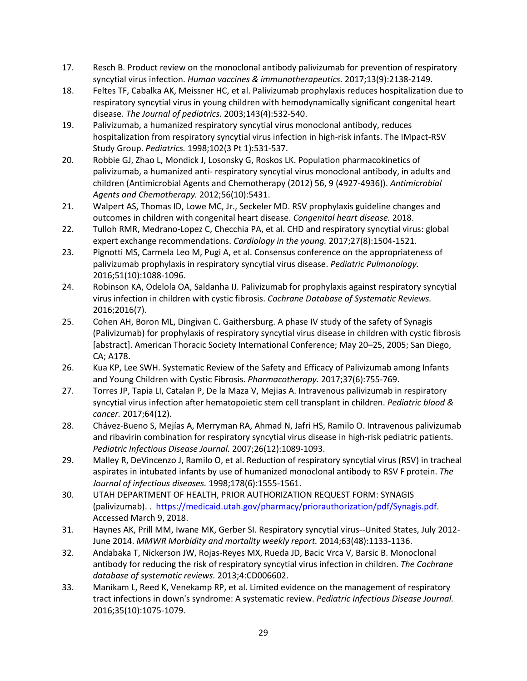- 17. Resch B. Product review on the monoclonal antibody palivizumab for prevention of respiratory syncytial virus infection. *Human vaccines & immunotherapeutics.* 2017;13(9):2138-2149.
- 18. Feltes TF, Cabalka AK, Meissner HC, et al. Palivizumab prophylaxis reduces hospitalization due to respiratory syncytial virus in young children with hemodynamically significant congenital heart disease. *The Journal of pediatrics.* 2003;143(4):532-540.
- 19. Palivizumab, a humanized respiratory syncytial virus monoclonal antibody, reduces hospitalization from respiratory syncytial virus infection in high-risk infants. The IMpact-RSV Study Group. *Pediatrics.* 1998;102(3 Pt 1):531-537.
- 20. Robbie GJ, Zhao L, Mondick J, Losonsky G, Roskos LK. Population pharmacokinetics of palivizumab, a humanized anti- respiratory syncytial virus monoclonal antibody, in adults and children (Antimicrobial Agents and Chemotherapy (2012) 56, 9 (4927-4936)). *Antimicrobial Agents and Chemotherapy.* 2012;56(10):5431.
- 21. Walpert AS, Thomas ID, Lowe MC, Jr., Seckeler MD. RSV prophylaxis guideline changes and outcomes in children with congenital heart disease. *Congenital heart disease.* 2018.
- 22. Tulloh RMR, Medrano-Lopez C, Checchia PA, et al. CHD and respiratory syncytial virus: global expert exchange recommendations. *Cardiology in the young.* 2017;27(8):1504-1521.
- 23. Pignotti MS, Carmela Leo M, Pugi A, et al. Consensus conference on the appropriateness of palivizumab prophylaxis in respiratory syncytial virus disease. *Pediatric Pulmonology.*  2016;51(10):1088-1096.
- 24. Robinson KA, Odelola OA, Saldanha IJ. Palivizumab for prophylaxis against respiratory syncytial virus infection in children with cystic fibrosis. *Cochrane Database of Systematic Reviews.*  2016;2016(7).
- 25. Cohen AH, Boron ML, Dingivan C. Gaithersburg. A phase IV study of the safety of Synagis (Palivizumab) for prophylaxis of respiratory syncytial virus disease in children with cystic fibrosis [abstract]. American Thoracic Society International Conference; May 20–25, 2005; San Diego, CA; A178.
- 26. Kua KP, Lee SWH. Systematic Review of the Safety and Efficacy of Palivizumab among Infants and Young Children with Cystic Fibrosis. *Pharmacotherapy.* 2017;37(6):755-769.
- 27. Torres JP, Tapia LI, Catalan P, De la Maza V, Mejias A. Intravenous palivizumab in respiratory syncytial virus infection after hematopoietic stem cell transplant in children. *Pediatric blood & cancer.* 2017;64(12).
- 28. Chávez-Bueno S, Mejías A, Merryman RA, Ahmad N, Jafri HS, Ramilo O. Intravenous palivizumab and ribavirin combination for respiratory syncytial virus disease in high-risk pediatric patients. *Pediatric Infectious Disease Journal.* 2007;26(12):1089-1093.
- 29. Malley R, DeVincenzo J, Ramilo O, et al. Reduction of respiratory syncytial virus (RSV) in tracheal aspirates in intubated infants by use of humanized monoclonal antibody to RSV F protein. *The Journal of infectious diseases.* 1998;178(6):1555-1561.
- 30. UTAH DEPARTMENT OF HEALTH, PRIOR AUTHORIZATION REQUEST FORM: SYNAGIS (palivizumab). . [https://medicaid.utah.gov/pharmacy/priorauthorization/pdf/Synagis.pdf.](https://medicaid.utah.gov/pharmacy/priorauthorization/pdf/Synagis.pdf) Accessed March 9, 2018.
- 31. Haynes AK, Prill MM, Iwane MK, Gerber SI. Respiratory syncytial virus--United States, July 2012- June 2014. *MMWR Morbidity and mortality weekly report.* 2014;63(48):1133-1136.
- 32. Andabaka T, Nickerson JW, Rojas-Reyes MX, Rueda JD, Bacic Vrca V, Barsic B. Monoclonal antibody for reducing the risk of respiratory syncytial virus infection in children. *The Cochrane database of systematic reviews.* 2013;4:CD006602.
- 33. Manikam L, Reed K, Venekamp RP, et al. Limited evidence on the management of respiratory tract infections in down's syndrome: A systematic review. *Pediatric Infectious Disease Journal.*  2016;35(10):1075-1079.